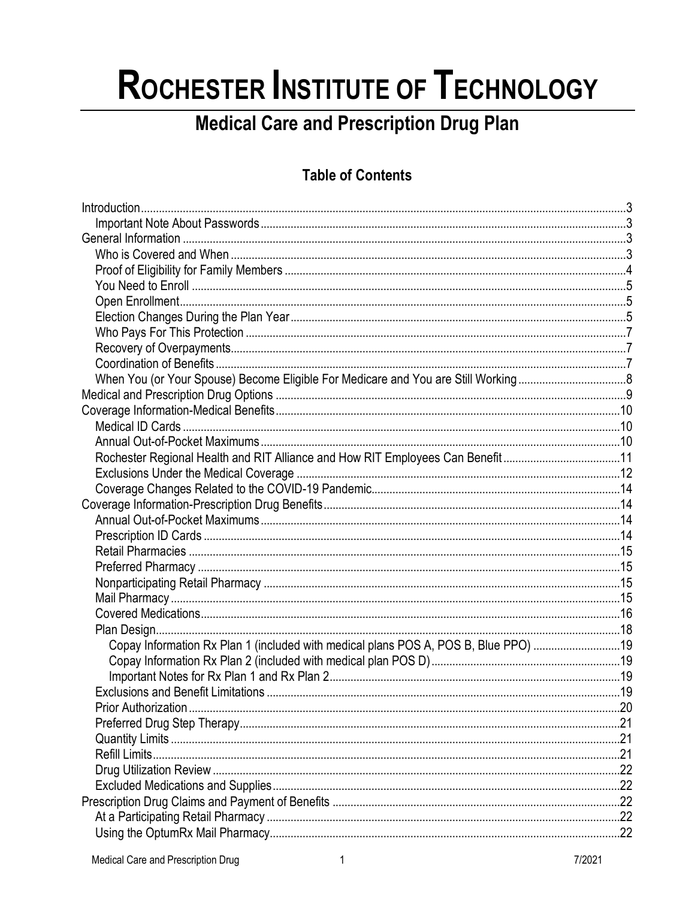# ROCHESTER INSTITUTE OF TECHNOLOGY

# **Medical Care and Prescription Drug Plan**

# **Table of Contents**

| Rochester Regional Health and RIT Alliance and How RIT Employees Can Benefit11      |  |
|-------------------------------------------------------------------------------------|--|
|                                                                                     |  |
|                                                                                     |  |
|                                                                                     |  |
|                                                                                     |  |
|                                                                                     |  |
|                                                                                     |  |
|                                                                                     |  |
|                                                                                     |  |
|                                                                                     |  |
|                                                                                     |  |
|                                                                                     |  |
| Copay Information Rx Plan 1 (included with medical plans POS A, POS B, Blue PPO) 19 |  |
|                                                                                     |  |
|                                                                                     |  |
|                                                                                     |  |
|                                                                                     |  |
|                                                                                     |  |
|                                                                                     |  |
|                                                                                     |  |
|                                                                                     |  |
|                                                                                     |  |
|                                                                                     |  |
|                                                                                     |  |
|                                                                                     |  |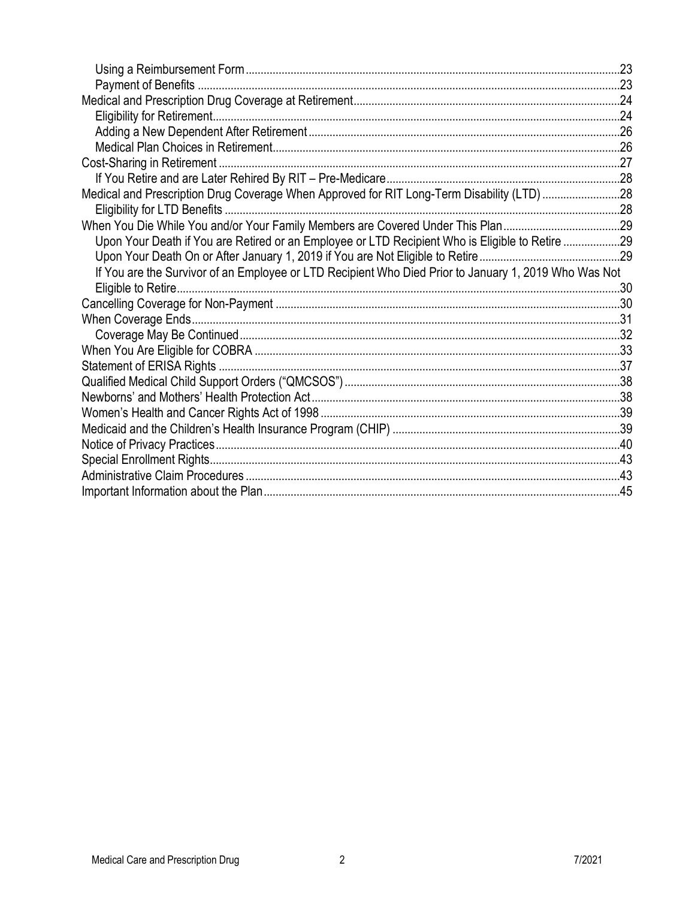| Medical and Prescription Drug Coverage When Approved for RIT Long-Term Disability (LTD) 28            |  |
|-------------------------------------------------------------------------------------------------------|--|
|                                                                                                       |  |
| When You Die While You and/or Your Family Members are Covered Under This Plan29                       |  |
| Upon Your Death if You are Retired or an Employee or LTD Recipient Who is Eligible to Retire 29       |  |
|                                                                                                       |  |
| If You are the Survivor of an Employee or LTD Recipient Who Died Prior to January 1, 2019 Who Was Not |  |
|                                                                                                       |  |
|                                                                                                       |  |
|                                                                                                       |  |
|                                                                                                       |  |
|                                                                                                       |  |
|                                                                                                       |  |
|                                                                                                       |  |
|                                                                                                       |  |
|                                                                                                       |  |
|                                                                                                       |  |
|                                                                                                       |  |
|                                                                                                       |  |
|                                                                                                       |  |
|                                                                                                       |  |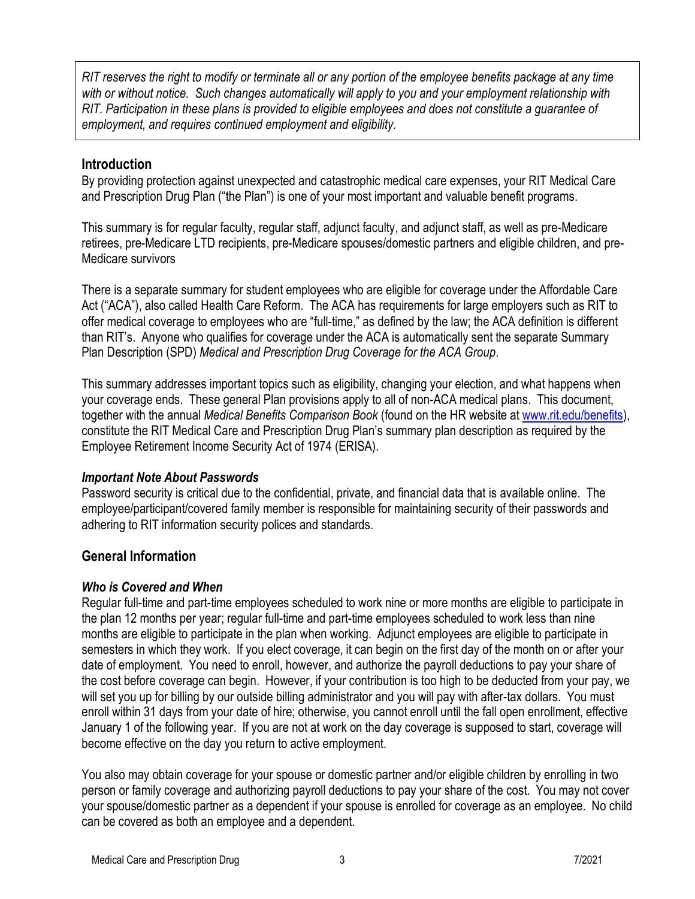*RIT reserves the right to modify or terminate all or any portion of the employee benefits package at any time with or without notice. Such changes automatically will apply to you and your employment relationship with RIT. Participation in these plans is provided to eligible employees and does not constitute a guarantee of employment, and requires continued employment and eligibility.*

### <span id="page-2-0"></span>**Introduction**

By providing protection against unexpected and catastrophic medical care expenses, your RIT Medical Care and Prescription Drug Plan ("the Plan") is one of your most important and valuable benefit programs.

This summary is for regular faculty, regular staff, adjunct faculty, and adjunct staff, as well as pre-Medicare retirees, pre-Medicare LTD recipients, pre-Medicare spouses/domestic partners and eligible children, and pre-Medicare survivors

There is a separate summary for student employees who are eligible for coverage under the Affordable Care Act ("ACA"), also called Health Care Reform. The ACA has requirements for large employers such as RIT to offer medical coverage to employees who are "full-time," as defined by the law; the ACA definition is different than RIT's. Anyone who qualifies for coverage under the ACA is automatically sent the separate Summary Plan Description (SPD) *Medical and Prescription Drug Coverage for the ACA Group*.

This summary addresses important topics such as eligibility, changing your election, and what happens when your coverage ends. These general Plan provisions apply to all of non-ACA medical plans. This document, together with the annual *Medical Benefits Comparison Book* (found on the HR website at [www.rit.edu/benefits\)](http://www.rit.edu/benefits), constitute the RIT Medical Care and Prescription Drug Plan's summary plan description as required by the Employee Retirement Income Security Act of 1974 (ERISA).

#### <span id="page-2-1"></span>*Important Note About Passwords*

Password security is critical due to the confidential, private, and financial data that is available online. The employee/participant/covered family member is responsible for maintaining security of their passwords and adhering to RIT information security polices and standards.

# <span id="page-2-2"></span>**General Information**

#### <span id="page-2-3"></span>*Who is Covered and When*

Regular full-time and part-time employees scheduled to work nine or more months are eligible to participate in the plan 12 months per year; regular full-time and part-time employees scheduled to work less than nine months are eligible to participate in the plan when working. Adjunct employees are eligible to participate in semesters in which they work. If you elect coverage, it can begin on the first day of the month on or after your date of employment. You need to enroll, however, and authorize the payroll deductions to pay your share of the cost before coverage can begin. However, if your contribution is too high to be deducted from your pay, we will set you up for billing by our outside billing administrator and you will pay with after-tax dollars. You must enroll within 31 days from your date of hire; otherwise, you cannot enroll until the fall open enrollment, effective January 1 of the following year. If you are not at work on the day coverage is supposed to start, coverage will become effective on the day you return to active employment.

You also may obtain coverage for your spouse or domestic partner and/or eligible children by enrolling in two person or family coverage and authorizing payroll deductions to pay your share of the cost. You may not cover your spouse/domestic partner as a dependent if your spouse is enrolled for coverage as an employee. No child can be covered as both an employee and a dependent.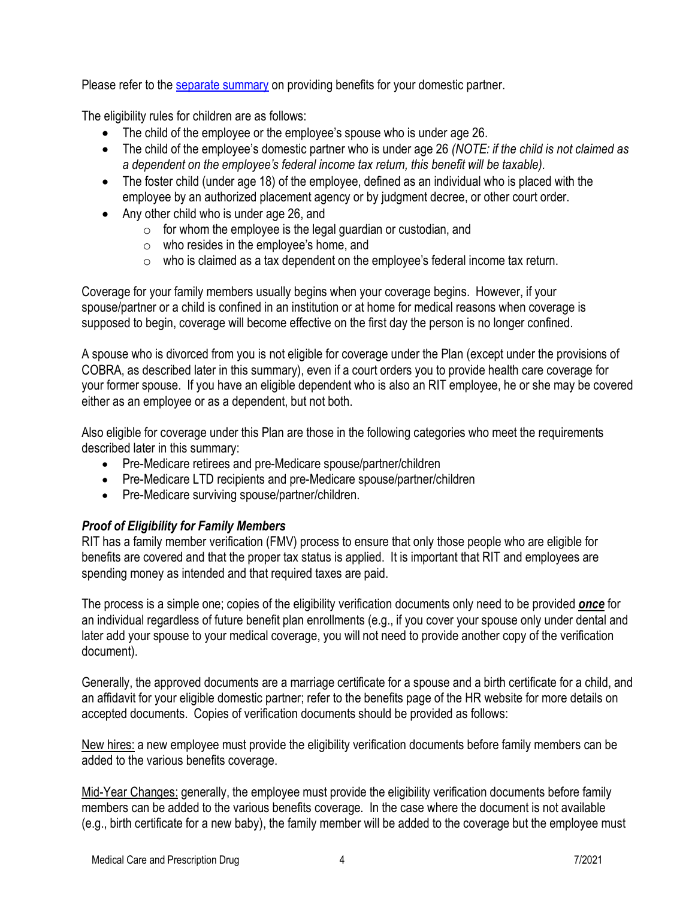Please refer to the [separate summary](https://www.rit.edu/fa/humanresources/content/covering-your-domestic-partner) on providing benefits for your domestic partner.

The eligibility rules for children are as follows:

- The child of the employee or the employee's spouse who is under age 26.
- The child of the employee's domestic partner who is under age 26 *(NOTE: if the child is not claimed as a dependent on the employee's federal income tax return, this benefit will be taxable).*
- The foster child (under age 18) of the employee, defined as an individual who is placed with the employee by an authorized placement agency or by judgment decree, or other court order.
- Any other child who is under age 26, and
	- $\circ$  for whom the employee is the legal guardian or custodian, and
	- o who resides in the employee's home, and
	- $\circ$  who is claimed as a tax dependent on the employee's federal income tax return.

Coverage for your family members usually begins when your coverage begins. However, if your spouse/partner or a child is confined in an institution or at home for medical reasons when coverage is supposed to begin, coverage will become effective on the first day the person is no longer confined.

A spouse who is divorced from you is not eligible for coverage under the Plan (except under the provisions of COBRA, as described later in this summary), even if a court orders you to provide health care coverage for your former spouse. If you have an eligible dependent who is also an RIT employee, he or she may be covered either as an employee or as a dependent, but not both.

Also eligible for coverage under this Plan are those in the following categories who meet the requirements described later in this summary:

- Pre-Medicare retirees and pre-Medicare spouse/partner/children
- Pre-Medicare LTD recipients and pre-Medicare spouse/partner/children
- Pre-Medicare surviving spouse/partner/children.

# <span id="page-3-0"></span>*Proof of Eligibility for Family Members*

RIT has a family member verification (FMV) process to ensure that only those people who are eligible for benefits are covered and that the proper tax status is applied. It is important that RIT and employees are spending money as intended and that required taxes are paid.

The process is a simple one; copies of the eligibility verification documents only need to be provided *once* for an individual regardless of future benefit plan enrollments (e.g., if you cover your spouse only under dental and later add your spouse to your medical coverage, you will not need to provide another copy of the verification document).

Generally, the approved documents are a marriage certificate for a spouse and a birth certificate for a child, and an affidavit for your eligible domestic partner; refer to the benefits page of the HR website for more details on accepted documents. Copies of verification documents should be provided as follows:

New hires: a new employee must provide the eligibility verification documents before family members can be added to the various benefits coverage.

Mid-Year Changes: generally, the employee must provide the eligibility verification documents before family members can be added to the various benefits coverage. In the case where the document is not available (e.g., birth certificate for a new baby), the family member will be added to the coverage but the employee must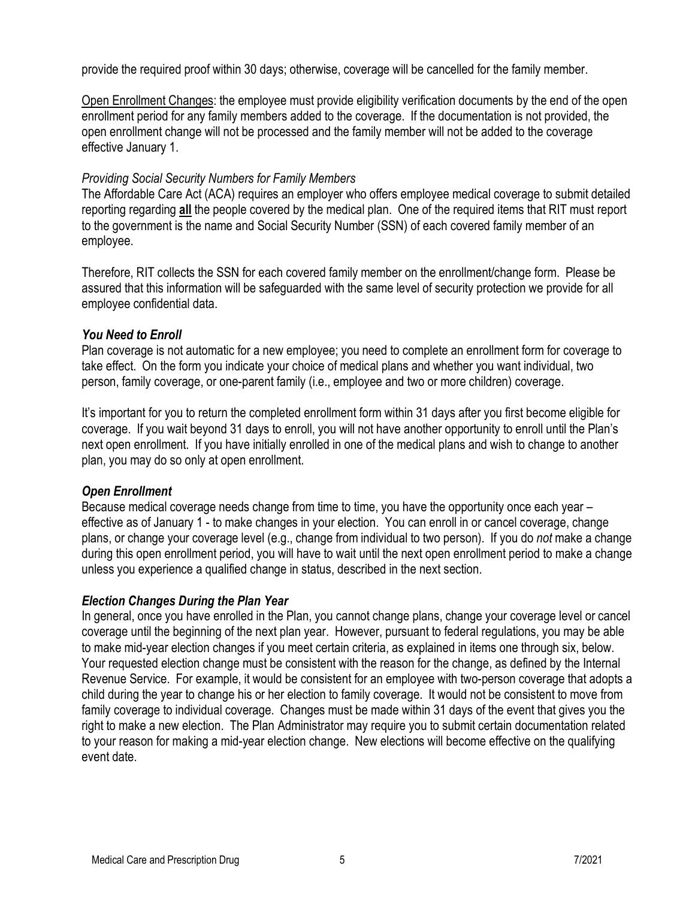provide the required proof within 30 days; otherwise, coverage will be cancelled for the family member.

Open Enrollment Changes: the employee must provide eligibility verification documents by the end of the open enrollment period for any family members added to the coverage. If the documentation is not provided, the open enrollment change will not be processed and the family member will not be added to the coverage effective January 1.

#### *Providing Social Security Numbers for Family Members*

The Affordable Care Act (ACA) requires an employer who offers employee medical coverage to submit detailed reporting regarding **all** the people covered by the medical plan. One of the required items that RIT must report to the government is the name and Social Security Number (SSN) of each covered family member of an employee.

Therefore, RIT collects the SSN for each covered family member on the enrollment/change form. Please be assured that this information will be safeguarded with the same level of security protection we provide for all employee confidential data.

#### <span id="page-4-0"></span>*You Need to Enroll*

Plan coverage is not automatic for a new employee; you need to complete an enrollment form for coverage to take effect. On the form you indicate your choice of medical plans and whether you want individual, two person, family coverage, or one-parent family (i.e., employee and two or more children) coverage.

It's important for you to return the completed enrollment form within 31 days after you first become eligible for coverage. If you wait beyond 31 days to enroll, you will not have another opportunity to enroll until the Plan's next open enrollment. If you have initially enrolled in one of the medical plans and wish to change to another plan, you may do so only at open enrollment.

#### <span id="page-4-1"></span>*Open Enrollment*

Because medical coverage needs change from time to time, you have the opportunity once each year – effective as of January 1 - to make changes in your election. You can enroll in or cancel coverage, change plans, or change your coverage level (e.g., change from individual to two person). If you do *not* make a change during this open enrollment period, you will have to wait until the next open enrollment period to make a change unless you experience a qualified change in status, described in the next section.

#### <span id="page-4-2"></span>*Election Changes During the Plan Year*

In general, once you have enrolled in the Plan, you cannot change plans, change your coverage level or cancel coverage until the beginning of the next plan year. However, pursuant to federal regulations, you may be able to make mid-year election changes if you meet certain criteria, as explained in items one through six, below. Your requested election change must be consistent with the reason for the change, as defined by the Internal Revenue Service. For example, it would be consistent for an employee with two-person coverage that adopts a child during the year to change his or her election to family coverage. It would not be consistent to move from family coverage to individual coverage. Changes must be made within 31 days of the event that gives you the right to make a new election. The Plan Administrator may require you to submit certain documentation related to your reason for making a mid-year election change. New elections will become effective on the qualifying event date.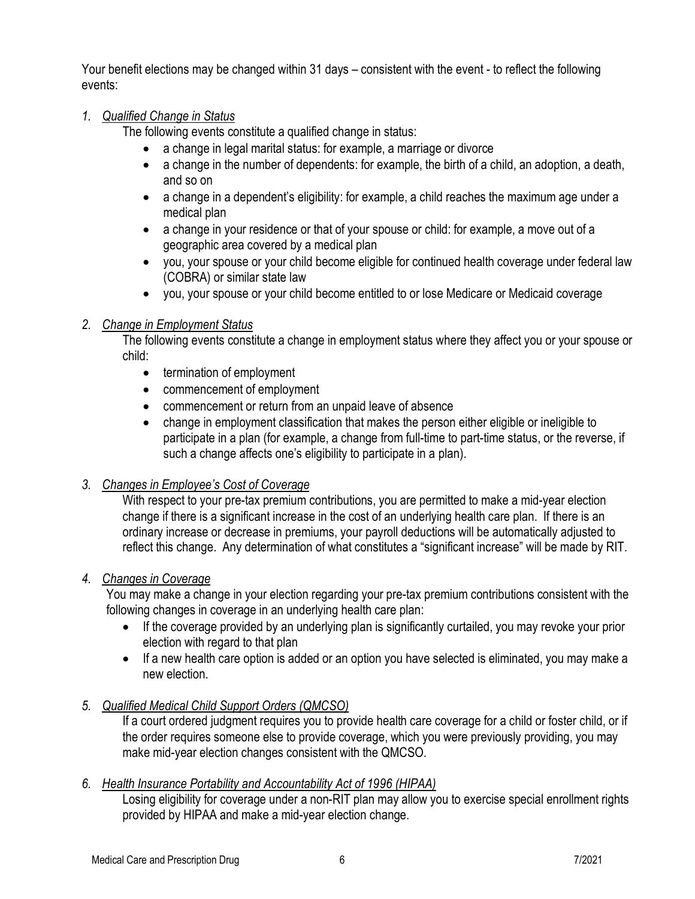Your benefit elections may be changed within 31 days – consistent with the event - to reflect the following events:

#### *1. Qualified Change in Status*

The following events constitute a qualified change in status:

- a change in legal marital status: for example, a marriage or divorce
- $\bullet$  a change in the number of dependents: for example, the birth of a child, an adoption, a death, and so on
- a change in a dependent's eligibility: for example, a child reaches the maximum age under a medical plan
- a change in your residence or that of your spouse or child: for example, a move out of a geographic area covered by a medical plan
- you, your spouse or your child become eligible for continued health coverage under federal law (COBRA) or similar state law
- you, your spouse or your child become entitled to or lose Medicare or Medicaid coverage

### *2. Change in Employment Status*

The following events constitute a change in employment status where they affect you or your spouse or child:

- termination of employment
- commencement of employment
- commencement or return from an unpaid leave of absence
- change in employment classification that makes the person either eligible or ineligible to participate in a plan (for example, a change from full-time to part-time status, or the reverse, if such a change affects one's eligibility to participate in a plan).

#### *3. Changes in Employee's Cost of Coverage*

With respect to your pre-tax premium contributions, you are permitted to make a mid-year election change if there is a significant increase in the cost of an underlying health care plan. If there is an ordinary increase or decrease in premiums, your payroll deductions will be automatically adjusted to reflect this change. Any determination of what constitutes a "significant increase" will be made by RIT.

#### *4. Changes in Coverage*

You may make a change in your election regarding your pre-tax premium contributions consistent with the following changes in coverage in an underlying health care plan:

- If the coverage provided by an underlying plan is significantly curtailed, you may revoke your prior election with regard to that plan
- If a new health care option is added or an option you have selected is eliminated, you may make a new election.

# *5. Qualified Medical Child Support Orders (QMCSO)*

If a court ordered judgment requires you to provide health care coverage for a child or foster child, or if the order requires someone else to provide coverage, which you were previously providing, you may make mid-year election changes consistent with the QMCSO.

#### *6. Health Insurance Portability and Accountability Act of 1996 (HIPAA)*

Losing eligibility for coverage under a non-RIT plan may allow you to exercise special enrollment rights provided by HIPAA and make a mid-year election change.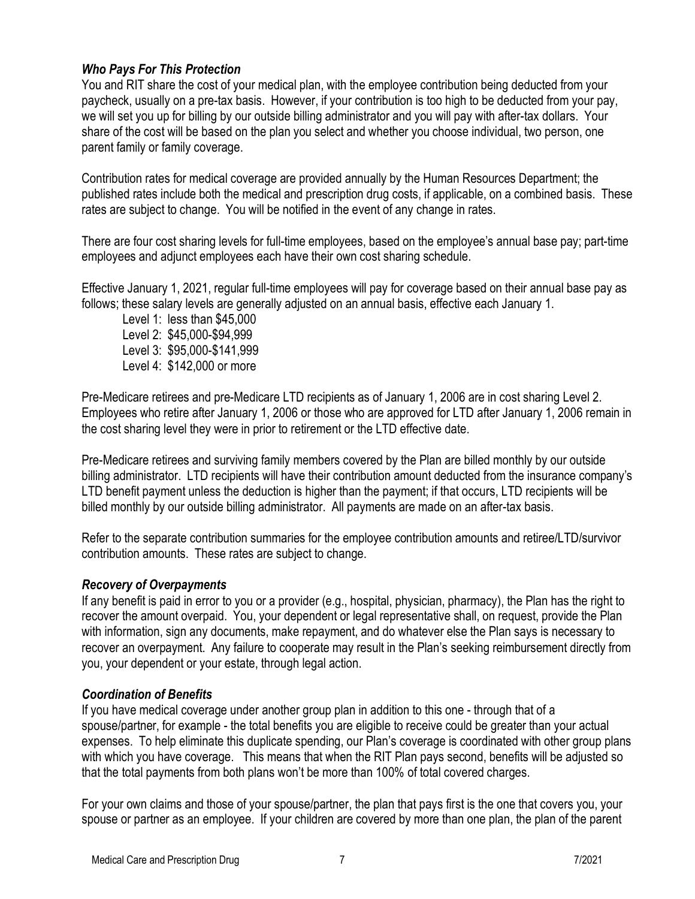# <span id="page-6-0"></span>*Who Pays For This Protection*

You and RIT share the cost of your medical plan, with the employee contribution being deducted from your paycheck, usually on a pre-tax basis. However, if your contribution is too high to be deducted from your pay, we will set you up for billing by our outside billing administrator and you will pay with after-tax dollars. Your share of the cost will be based on the plan you select and whether you choose individual, two person, one parent family or family coverage.

Contribution rates for medical coverage are provided annually by the Human Resources Department; the published rates include both the medical and prescription drug costs, if applicable, on a combined basis. These rates are subject to change. You will be notified in the event of any change in rates.

There are four cost sharing levels for full-time employees, based on the employee's annual base pay; part-time employees and adjunct employees each have their own cost sharing schedule.

Effective January 1, 2021, regular full-time employees will pay for coverage based on their annual base pay as follows; these salary levels are generally adjusted on an annual basis, effective each January 1.

Level 1: less than \$45,000 Level 2: \$45,000-\$94,999 Level 3: \$95,000-\$141,999 Level 4: \$142,000 or more

Pre-Medicare retirees and pre-Medicare LTD recipients as of January 1, 2006 are in cost sharing Level 2. Employees who retire after January 1, 2006 or those who are approved for LTD after January 1, 2006 remain in the cost sharing level they were in prior to retirement or the LTD effective date.

Pre-Medicare retirees and surviving family members covered by the Plan are billed monthly by our outside billing administrator. LTD recipients will have their contribution amount deducted from the insurance company's LTD benefit payment unless the deduction is higher than the payment; if that occurs, LTD recipients will be billed monthly by our outside billing administrator. All payments are made on an after-tax basis.

Refer to the separate contribution summaries for the employee contribution amounts and retiree/LTD/survivor contribution amounts. These rates are subject to change.

#### <span id="page-6-1"></span>*Recovery of Overpayments*

If any benefit is paid in error to you or a provider (e.g., hospital, physician, pharmacy), the Plan has the right to recover the amount overpaid. You, your dependent or legal representative shall, on request, provide the Plan with information, sign any documents, make repayment, and do whatever else the Plan says is necessary to recover an overpayment. Any failure to cooperate may result in the Plan's seeking reimbursement directly from you, your dependent or your estate, through legal action.

#### <span id="page-6-2"></span>*Coordination of Benefits*

If you have medical coverage under another group plan in addition to this one - through that of a spouse/partner, for example - the total benefits you are eligible to receive could be greater than your actual expenses. To help eliminate this duplicate spending, our Plan's coverage is coordinated with other group plans with which you have coverage. This means that when the RIT Plan pays second, benefits will be adjusted so that the total payments from both plans won't be more than 100% of total covered charges.

For your own claims and those of your spouse/partner, the plan that pays first is the one that covers you, your spouse or partner as an employee. If your children are covered by more than one plan, the plan of the parent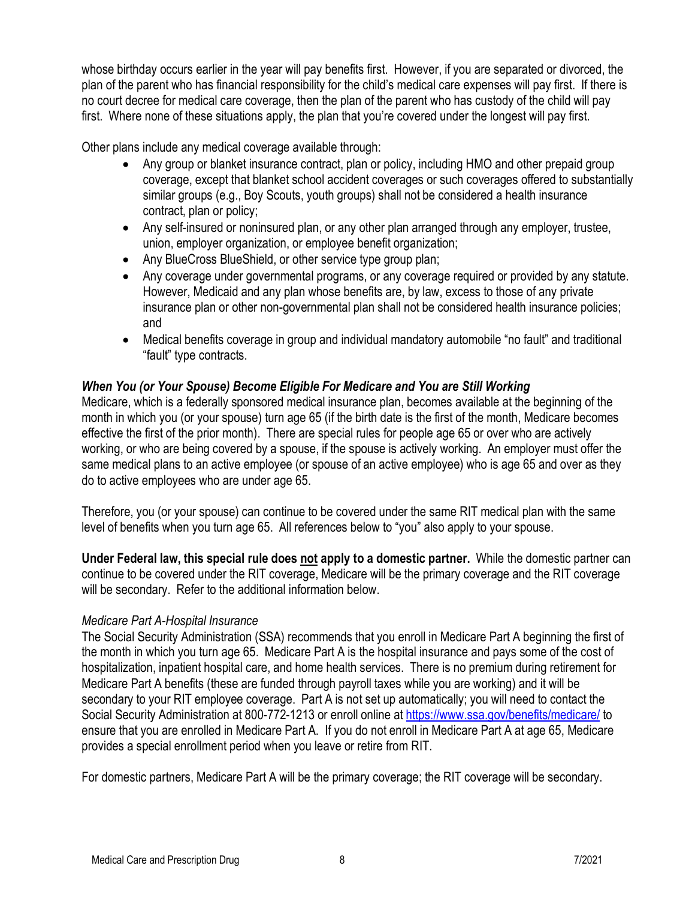whose birthday occurs earlier in the year will pay benefits first. However, if you are separated or divorced, the plan of the parent who has financial responsibility for the child's medical care expenses will pay first. If there is no court decree for medical care coverage, then the plan of the parent who has custody of the child will pay first. Where none of these situations apply, the plan that you're covered under the longest will pay first.

Other plans include any medical coverage available through:

- Any group or blanket insurance contract, plan or policy, including HMO and other prepaid group coverage, except that blanket school accident coverages or such coverages offered to substantially similar groups (e.g., Boy Scouts, youth groups) shall not be considered a health insurance contract, plan or policy;
- Any self-insured or noninsured plan, or any other plan arranged through any employer, trustee, union, employer organization, or employee benefit organization;
- Any BlueCross BlueShield, or other service type group plan;
- Any coverage under governmental programs, or any coverage required or provided by any statute. However, Medicaid and any plan whose benefits are, by law, excess to those of any private insurance plan or other non-governmental plan shall not be considered health insurance policies; and
- Medical benefits coverage in group and individual mandatory automobile "no fault" and traditional "fault" type contracts.

#### <span id="page-7-0"></span>*When You (or Your Spouse) Become Eligible For Medicare and You are Still Working*

Medicare, which is a federally sponsored medical insurance plan, becomes available at the beginning of the month in which you (or your spouse) turn age 65 (if the birth date is the first of the month, Medicare becomes effective the first of the prior month). There are special rules for people age 65 or over who are actively working, or who are being covered by a spouse, if the spouse is actively working. An employer must offer the same medical plans to an active employee (or spouse of an active employee) who is age 65 and over as they do to active employees who are under age 65.

Therefore, you (or your spouse) can continue to be covered under the same RIT medical plan with the same level of benefits when you turn age 65. All references below to "you" also apply to your spouse.

**Under Federal law, this special rule does not apply to a domestic partner.** While the domestic partner can continue to be covered under the RIT coverage, Medicare will be the primary coverage and the RIT coverage will be secondary. Refer to the additional information below.

#### *Medicare Part A-Hospital Insurance*

The Social Security Administration (SSA) recommends that you enroll in Medicare Part A beginning the first of the month in which you turn age 65. Medicare Part A is the hospital insurance and pays some of the cost of hospitalization, inpatient hospital care, and home health services. There is no premium during retirement for Medicare Part A benefits (these are funded through payroll taxes while you are working) and it will be secondary to your RIT employee coverage. Part A is not set up automatically; you will need to contact the Social Security Administration at 800-772-1213 or enroll online at<https://www.ssa.gov/benefits/medicare/> to ensure that you are enrolled in Medicare Part A. If you do not enroll in Medicare Part A at age 65, Medicare provides a special enrollment period when you leave or retire from RIT.

For domestic partners, Medicare Part A will be the primary coverage; the RIT coverage will be secondary.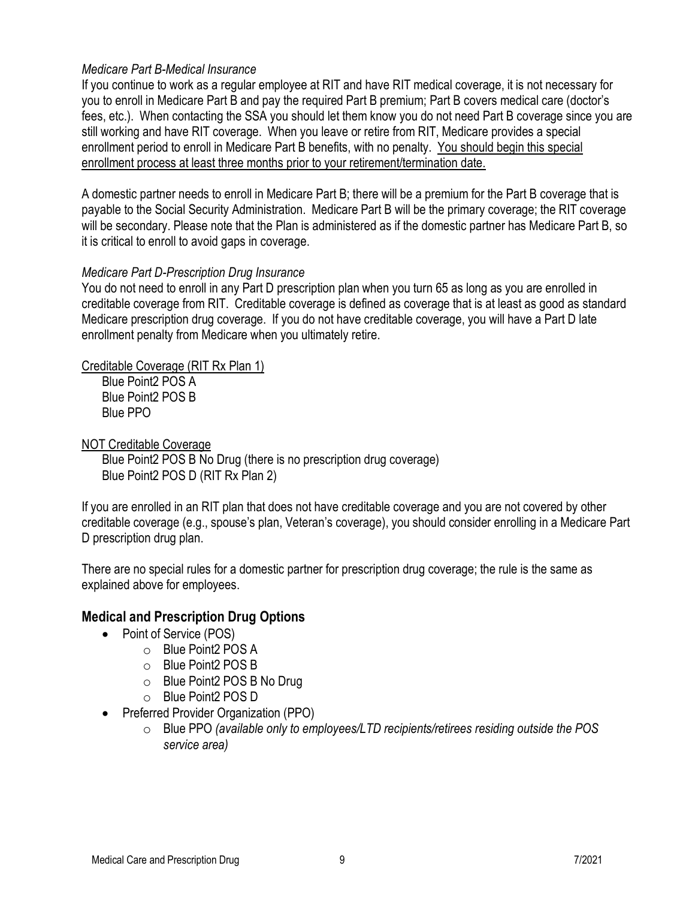#### *Medicare Part B-Medical Insurance*

If you continue to work as a regular employee at RIT and have RIT medical coverage, it is not necessary for you to enroll in Medicare Part B and pay the required Part B premium; Part B covers medical care (doctor's fees, etc.). When contacting the SSA you should let them know you do not need Part B coverage since you are still working and have RIT coverage. When you leave or retire from RIT, Medicare provides a special enrollment period to enroll in Medicare Part B benefits, with no penalty. You should begin this special enrollment process at least three months prior to your retirement/termination date.

A domestic partner needs to enroll in Medicare Part B; there will be a premium for the Part B coverage that is payable to the Social Security Administration. Medicare Part B will be the primary coverage; the RIT coverage will be secondary. Please note that the Plan is administered as if the domestic partner has Medicare Part B, so it is critical to enroll to avoid gaps in coverage.

#### *Medicare Part D-Prescription Drug Insurance*

You do not need to enroll in any Part D prescription plan when you turn 65 as long as you are enrolled in creditable coverage from RIT. Creditable coverage is defined as coverage that is at least as good as standard Medicare prescription drug coverage. If you do not have creditable coverage, you will have a Part D late enrollment penalty from Medicare when you ultimately retire.

Creditable Coverage (RIT Rx Plan 1)

Blue Point2 POS A Blue Point2 POS B Blue PPO

NOT Creditable Coverage

Blue Point2 POS B No Drug (there is no prescription drug coverage) Blue Point2 POS D (RIT Rx Plan 2)

If you are enrolled in an RIT plan that does not have creditable coverage and you are not covered by other creditable coverage (e.g., spouse's plan, Veteran's coverage), you should consider enrolling in a Medicare Part D prescription drug plan.

There are no special rules for a domestic partner for prescription drug coverage; the rule is the same as explained above for employees.

# <span id="page-8-0"></span>**Medical and Prescription Drug Options**

- Point of Service (POS)
	- o Blue Point2 POS A
	- o Blue Point2 POS B
	- o Blue Point2 POS B No Drug
	- o Blue Point2 POS D
- Preferred Provider Organization (PPO)
	- o Blue PPO *(available only to employees/LTD recipients/retirees residing outside the POS service area)*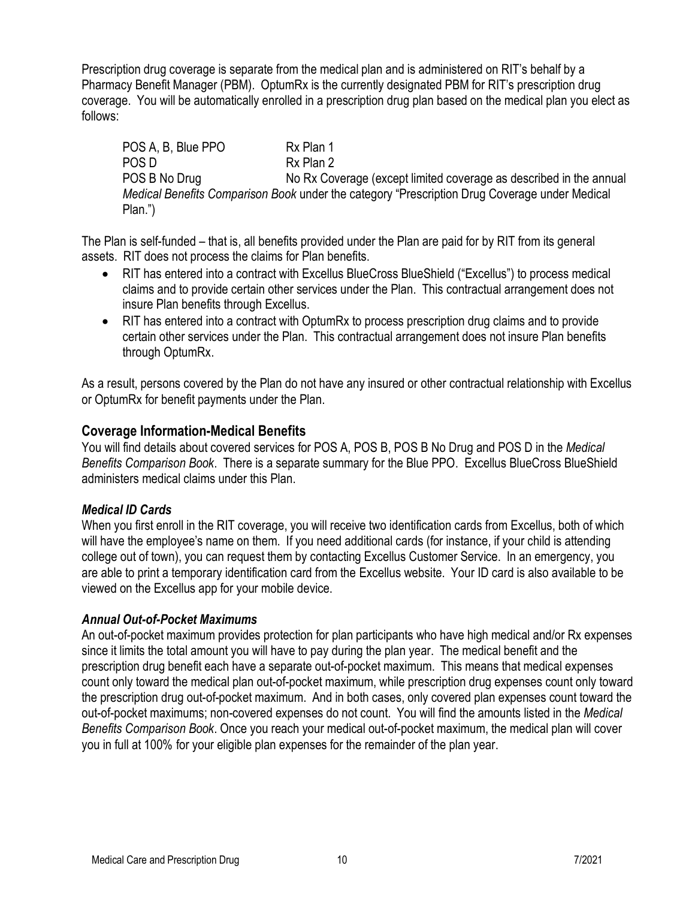Prescription drug coverage is separate from the medical plan and is administered on RIT's behalf by a Pharmacy Benefit Manager (PBM). OptumRx is the currently designated PBM for RIT's prescription drug coverage. You will be automatically enrolled in a prescription drug plan based on the medical plan you elect as follows:

POS A, B, Blue PPO Rx Plan 1 POS D Rx Plan 2 POS B No Drug No Rx Coverage (except limited coverage as described in the annual *Medical Benefits Comparison Book* under the category "Prescription Drug Coverage under Medical Plan.")

The Plan is self-funded – that is, all benefits provided under the Plan are paid for by RIT from its general assets. RIT does not process the claims for Plan benefits.

- RIT has entered into a contract with Excellus BlueCross BlueShield ("Excellus") to process medical claims and to provide certain other services under the Plan. This contractual arrangement does not insure Plan benefits through Excellus.
- RIT has entered into a contract with OptumRx to process prescription drug claims and to provide certain other services under the Plan. This contractual arrangement does not insure Plan benefits through OptumRx.

As a result, persons covered by the Plan do not have any insured or other contractual relationship with Excellus or OptumRx for benefit payments under the Plan.

### <span id="page-9-0"></span>**Coverage Information-Medical Benefits**

You will find details about covered services for POS A, POS B, POS B No Drug and POS D in the *Medical Benefits Comparison Book*. There is a separate summary for the Blue PPO. Excellus BlueCross BlueShield administers medical claims under this Plan.

#### <span id="page-9-1"></span>*Medical ID Cards*

When you first enroll in the RIT coverage, you will receive two identification cards from Excellus, both of which will have the employee's name on them. If you need additional cards (for instance, if your child is attending college out of town), you can request them by contacting Excellus Customer Service. In an emergency, you are able to print a temporary identification card from the Excellus website. Your ID card is also available to be viewed on the Excellus app for your mobile device.

#### <span id="page-9-2"></span>*Annual Out-of-Pocket Maximums*

An out-of-pocket maximum provides protection for plan participants who have high medical and/or Rx expenses since it limits the total amount you will have to pay during the plan year. The medical benefit and the prescription drug benefit each have a separate out-of-pocket maximum. This means that medical expenses count only toward the medical plan out-of-pocket maximum, while prescription drug expenses count only toward the prescription drug out-of-pocket maximum. And in both cases, only covered plan expenses count toward the out-of-pocket maximums; non-covered expenses do not count. You will find the amounts listed in the *Medical Benefits Comparison Book*. Once you reach your medical out-of-pocket maximum, the medical plan will cover you in full at 100% for your eligible plan expenses for the remainder of the plan year.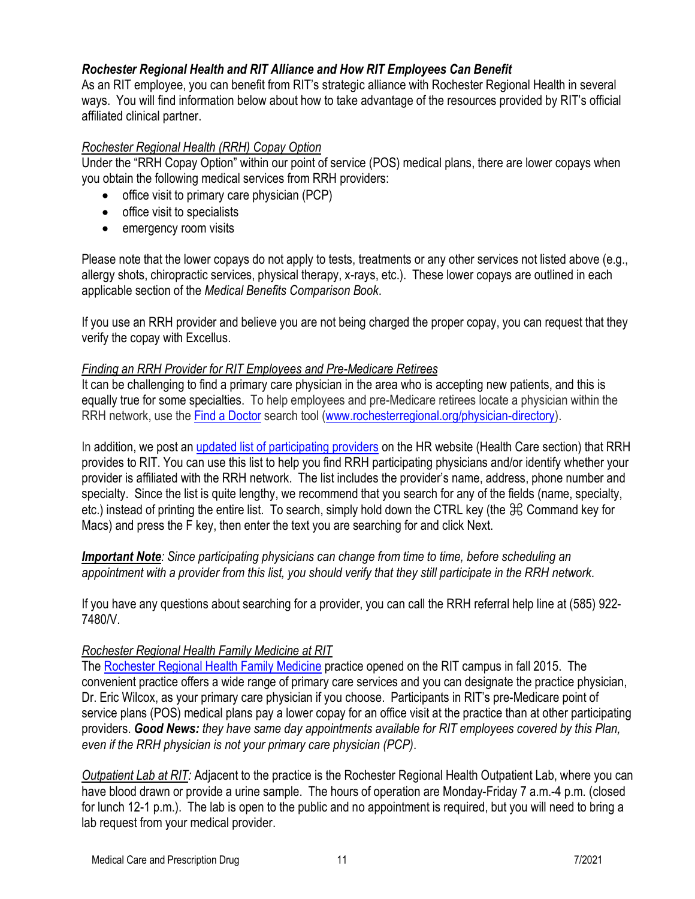# <span id="page-10-0"></span>*Rochester Regional Health and RIT Alliance and How RIT Employees Can Benefit*

As an RIT employee, you can benefit from RIT's strategic alliance with Rochester Regional Health in several ways. You will find information below about how to take advantage of the resources provided by RIT's official affiliated clinical partner.

#### *Rochester Regional Health (RRH) Copay Option*

Under the "RRH Copay Option" within our point of service (POS) medical plans, there are lower copays when you obtain the following medical services from RRH providers:

- office visit to primary care physician (PCP)
- office visit to specialists
- emergency room visits

Please note that the lower copays do not apply to tests, treatments or any other services not listed above (e.g., allergy shots, chiropractic services, physical therapy, x-rays, etc.). These lower copays are outlined in each applicable section of the *Medical Benefits Comparison Book*.

If you use an RRH provider and believe you are not being charged the proper copay, you can request that they verify the copay with Excellus.

#### *Finding an RRH Provider for RIT Employees and Pre-Medicare Retirees*

It can be challenging to find a primary care physician in the area who is accepting new patients, and this is equally true for some specialties. To help employees and pre-Medicare retirees locate a physician within the RRH network, use the [Find a Doctor](https://www.rochesterregional.org/physician-directory/) search tool [\(www.rochesterregional.org/physician-directory\)](http://www.rochesterregional.org/physician-directory).

In addition, we post an [updated list of participating providers](https://www.rit.edu/fa/humanresources/sites/rit.edu.fa.humanresources/files/docs/RRHS_Domestic_Network_Provider_List.xlsx) on the HR website (Health Care section) that RRH provides to RIT. You can use this list to help you find RRH participating physicians and/or identify whether your provider is affiliated with the RRH network. The list includes the provider's name, address, phone number and specialty. Since the list is quite lengthy, we recommend that you search for any of the fields (name, specialty, etc.) instead of printing the entire list. To search, simply hold down the CTRL key (the  $\mathcal{H}$  Command key for Macs) and press the F key, then enter the text you are searching for and click Next.

*Important Note: Since participating physicians can change from time to time, before scheduling an appointment with a provider from this list, you should verify that they still participate in the RRH network.*

If you have any questions about searching for a provider, you can call the RRH referral help line at (585) 922- 7480/V.

#### *Rochester Regional Health Family Medicine at RIT*

The [Rochester Regional Health Family Medicine](https://www.rit.edu/affiliate/rrh/family-medicine-practice) practice opened on the RIT campus in fall 2015. The convenient practice offers a wide range of primary care services and you can designate the practice physician, Dr. Eric Wilcox, as your primary care physician if you choose. Participants in RIT's pre-Medicare point of service plans (POS) medical plans pay a lower copay for an office visit at the practice than at other participating providers. *Good News: they have same day appointments available for RIT employees covered by this Plan, even if the RRH physician is not your primary care physician (PCP)*.

*Outpatient Lab at RIT:* Adjacent to the practice is the Rochester Regional Health Outpatient Lab, where you can have blood drawn or provide a urine sample. The hours of operation are Monday-Friday 7 a.m.-4 p.m. (closed for lunch 12-1 p.m.). The lab is open to the public and no appointment is required, but you will need to bring a lab request from your medical provider.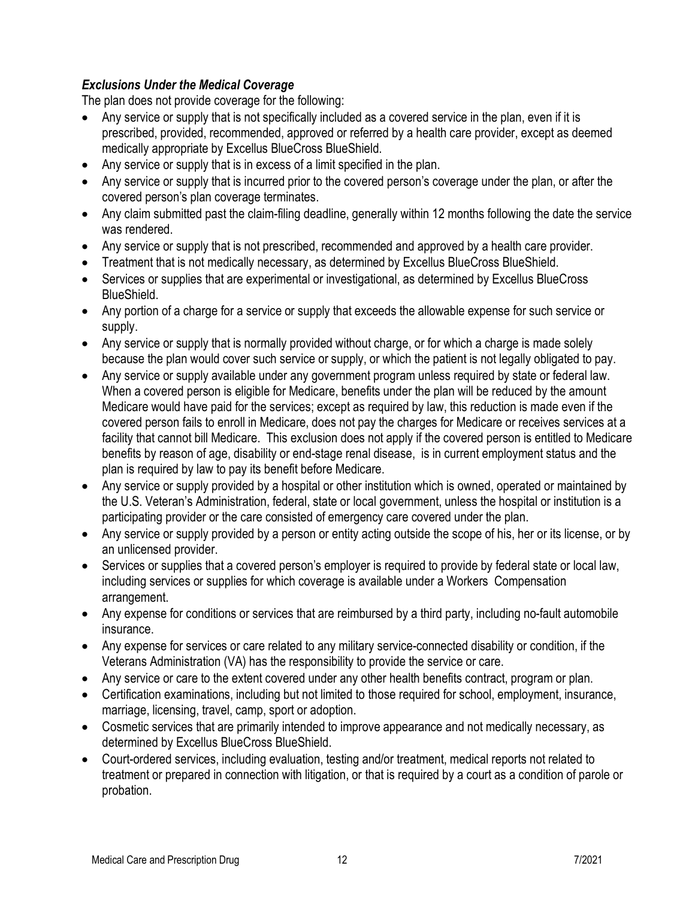# <span id="page-11-0"></span>*Exclusions Under the Medical Coverage*

The plan does not provide coverage for the following:

- Any service or supply that is not specifically included as a covered service in the plan, even if it is prescribed, provided, recommended, approved or referred by a health care provider, except as deemed medically appropriate by Excellus BlueCross BlueShield.
- Any service or supply that is in excess of a limit specified in the plan.
- Any service or supply that is incurred prior to the covered person's coverage under the plan, or after the covered person's plan coverage terminates.
- Any claim submitted past the claim-filing deadline, generally within 12 months following the date the service was rendered.
- Any service or supply that is not prescribed, recommended and approved by a health care provider.
- Treatment that is not medically necessary, as determined by Excellus BlueCross BlueShield.
- Services or supplies that are experimental or investigational, as determined by Excellus BlueCross BlueShield.
- Any portion of a charge for a service or supply that exceeds the allowable expense for such service or supply.
- Any service or supply that is normally provided without charge, or for which a charge is made solely because the plan would cover such service or supply, or which the patient is not legally obligated to pay.
- Any service or supply available under any government program unless required by state or federal law. When a covered person is eligible for Medicare, benefits under the plan will be reduced by the amount Medicare would have paid for the services; except as required by law, this reduction is made even if the covered person fails to enroll in Medicare, does not pay the charges for Medicare or receives services at a facility that cannot bill Medicare. This exclusion does not apply if the covered person is entitled to Medicare benefits by reason of age, disability or end-stage renal disease, is in current employment status and the plan is required by law to pay its benefit before Medicare.
- Any service or supply provided by a hospital or other institution which is owned, operated or maintained by the U.S. Veteran's Administration, federal, state or local government, unless the hospital or institution is a participating provider or the care consisted of emergency care covered under the plan.
- Any service or supply provided by a person or entity acting outside the scope of his, her or its license, or by an unlicensed provider.
- Services or supplies that a covered person's employer is required to provide by federal state or local law, including services or supplies for which coverage is available under a Workers Compensation arrangement.
- Any expense for conditions or services that are reimbursed by a third party, including no-fault automobile insurance.
- Any expense for services or care related to any military service-connected disability or condition, if the Veterans Administration (VA) has the responsibility to provide the service or care.
- Any service or care to the extent covered under any other health benefits contract, program or plan.
- Certification examinations, including but not limited to those required for school, employment, insurance, marriage, licensing, travel, camp, sport or adoption.
- Cosmetic services that are primarily intended to improve appearance and not medically necessary, as determined by Excellus BlueCross BlueShield.
- Court-ordered services, including evaluation, testing and/or treatment, medical reports not related to treatment or prepared in connection with litigation, or that is required by a court as a condition of parole or probation.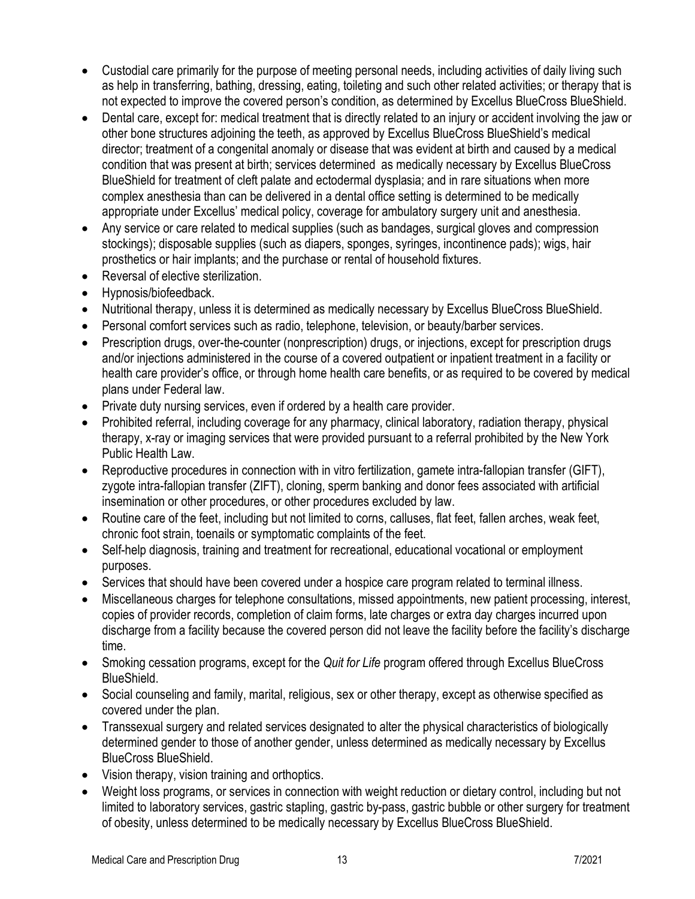- Custodial care primarily for the purpose of meeting personal needs, including activities of daily living such as help in transferring, bathing, dressing, eating, toileting and such other related activities; or therapy that is not expected to improve the covered person's condition, as determined by Excellus BlueCross BlueShield.
- Dental care, except for: medical treatment that is directly related to an injury or accident involving the jaw or other bone structures adjoining the teeth, as approved by Excellus BlueCross BlueShield's medical director; treatment of a congenital anomaly or disease that was evident at birth and caused by a medical condition that was present at birth; services determined as medically necessary by Excellus BlueCross BlueShield for treatment of cleft palate and ectodermal dysplasia; and in rare situations when more complex anesthesia than can be delivered in a dental office setting is determined to be medically appropriate under Excellus' medical policy, coverage for ambulatory surgery unit and anesthesia.
- Any service or care related to medical supplies (such as bandages, surgical gloves and compression stockings); disposable supplies (such as diapers, sponges, syringes, incontinence pads); wigs, hair prosthetics or hair implants; and the purchase or rental of household fixtures.
- Reversal of elective sterilization.
- Hypnosis/biofeedback.
- Nutritional therapy, unless it is determined as medically necessary by Excellus BlueCross BlueShield.
- Personal comfort services such as radio, telephone, television, or beauty/barber services.
- Prescription drugs, over-the-counter (nonprescription) drugs, or injections, except for prescription drugs and/or injections administered in the course of a covered outpatient or inpatient treatment in a facility or health care provider's office, or through home health care benefits, or as required to be covered by medical plans under Federal law.
- Private duty nursing services, even if ordered by a health care provider.
- Prohibited referral, including coverage for any pharmacy, clinical laboratory, radiation therapy, physical therapy, x-ray or imaging services that were provided pursuant to a referral prohibited by the New York Public Health Law.
- Reproductive procedures in connection with in vitro fertilization, gamete intra-fallopian transfer (GIFT), zygote intra-fallopian transfer (ZIFT), cloning, sperm banking and donor fees associated with artificial insemination or other procedures, or other procedures excluded by law.
- Routine care of the feet, including but not limited to corns, calluses, flat feet, fallen arches, weak feet, chronic foot strain, toenails or symptomatic complaints of the feet.
- Self-help diagnosis, training and treatment for recreational, educational vocational or employment purposes.
- Services that should have been covered under a hospice care program related to terminal illness.
- Miscellaneous charges for telephone consultations, missed appointments, new patient processing, interest, copies of provider records, completion of claim forms, late charges or extra day charges incurred upon discharge from a facility because the covered person did not leave the facility before the facility's discharge time.
- Smoking cessation programs, except for the *Quit for Life* program offered through Excellus BlueCross BlueShield.
- Social counseling and family, marital, religious, sex or other therapy, except as otherwise specified as covered under the plan.
- Transsexual surgery and related services designated to alter the physical characteristics of biologically determined gender to those of another gender, unless determined as medically necessary by Excellus BlueCross BlueShield.
- Vision therapy, vision training and orthoptics.
- Weight loss programs, or services in connection with weight reduction or dietary control, including but not limited to laboratory services, gastric stapling, gastric by-pass, gastric bubble or other surgery for treatment of obesity, unless determined to be medically necessary by Excellus BlueCross BlueShield.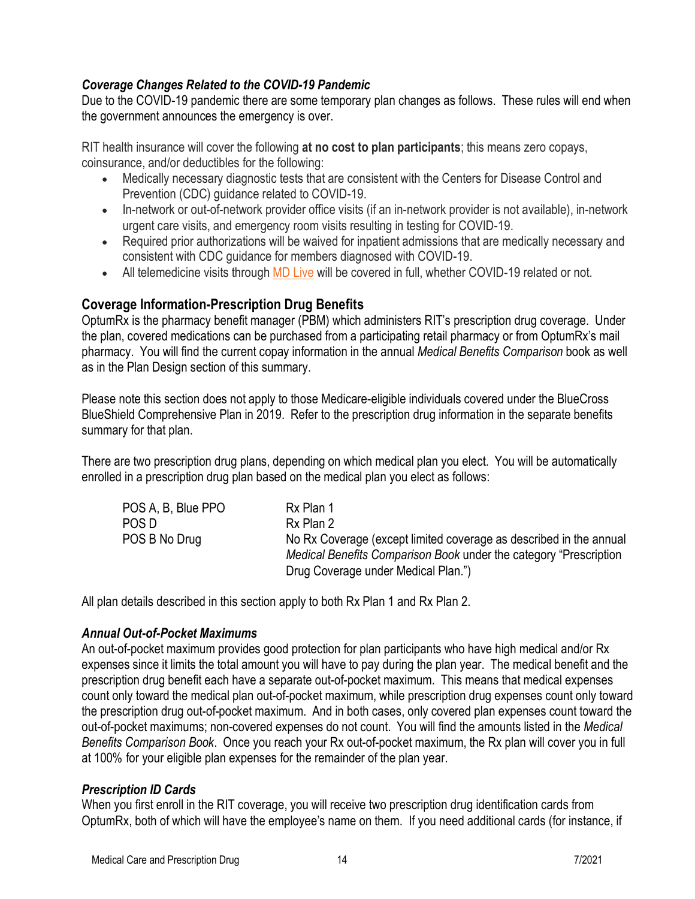# <span id="page-13-0"></span>*Coverage Changes Related to the COVID-19 Pandemic*

Due to the COVID-19 pandemic there are some temporary plan changes as follows. These rules will end when the government announces the emergency is over.

RIT health insurance will cover the following **at no cost to plan participants**; this means zero copays, coinsurance, and/or deductibles for the following:

- Medically necessary diagnostic tests that are consistent with the Centers for Disease Control and Prevention (CDC) guidance related to COVID-19.
- In-network or out-of-network provider office visits (if an in-network provider is not available), in-network urgent care visits, and emergency room visits resulting in testing for COVID-19.
- Required prior authorizations will be waived for inpatient admissions that are medically necessary and consistent with CDC guidance for members diagnosed with COVID-19.
- All telemedicine visits through [MD Live](https://www.mdlive.com/) will be covered in full, whether COVID-19 related or not.

### <span id="page-13-1"></span>**Coverage Information-Prescription Drug Benefits**

OptumRx is the pharmacy benefit manager (PBM) which administers RIT's prescription drug coverage. Under the plan, covered medications can be purchased from a participating retail pharmacy or from OptumRx's mail pharmacy. You will find the current copay information in the annual *Medical Benefits Comparison* book as well as in the Plan Design section of this summary.

Please note this section does not apply to those Medicare-eligible individuals covered under the BlueCross BlueShield Comprehensive Plan in 2019. Refer to the prescription drug information in the separate benefits summary for that plan.

There are two prescription drug plans, depending on which medical plan you elect. You will be automatically enrolled in a prescription drug plan based on the medical plan you elect as follows:

| POS A, B, Blue PPO | Rx Plan 1                                                          |
|--------------------|--------------------------------------------------------------------|
| POS D              | Rx Plan 2                                                          |
| POS B No Drug      | No Rx Coverage (except limited coverage as described in the annual |
|                    | Medical Benefits Comparison Book under the category "Prescription" |
|                    | Drug Coverage under Medical Plan.")                                |

All plan details described in this section apply to both Rx Plan 1 and Rx Plan 2.

#### <span id="page-13-2"></span>*Annual Out-of-Pocket Maximums*

An out-of-pocket maximum provides good protection for plan participants who have high medical and/or Rx expenses since it limits the total amount you will have to pay during the plan year. The medical benefit and the prescription drug benefit each have a separate out-of-pocket maximum. This means that medical expenses count only toward the medical plan out-of-pocket maximum, while prescription drug expenses count only toward the prescription drug out-of-pocket maximum. And in both cases, only covered plan expenses count toward the out-of-pocket maximums; non-covered expenses do not count. You will find the amounts listed in the *Medical Benefits Comparison Book*. Once you reach your Rx out-of-pocket maximum, the Rx plan will cover you in full at 100% for your eligible plan expenses for the remainder of the plan year.

#### <span id="page-13-3"></span>*Prescription ID Cards*

When you first enroll in the RIT coverage, you will receive two prescription drug identification cards from OptumRx, both of which will have the employee's name on them. If you need additional cards (for instance, if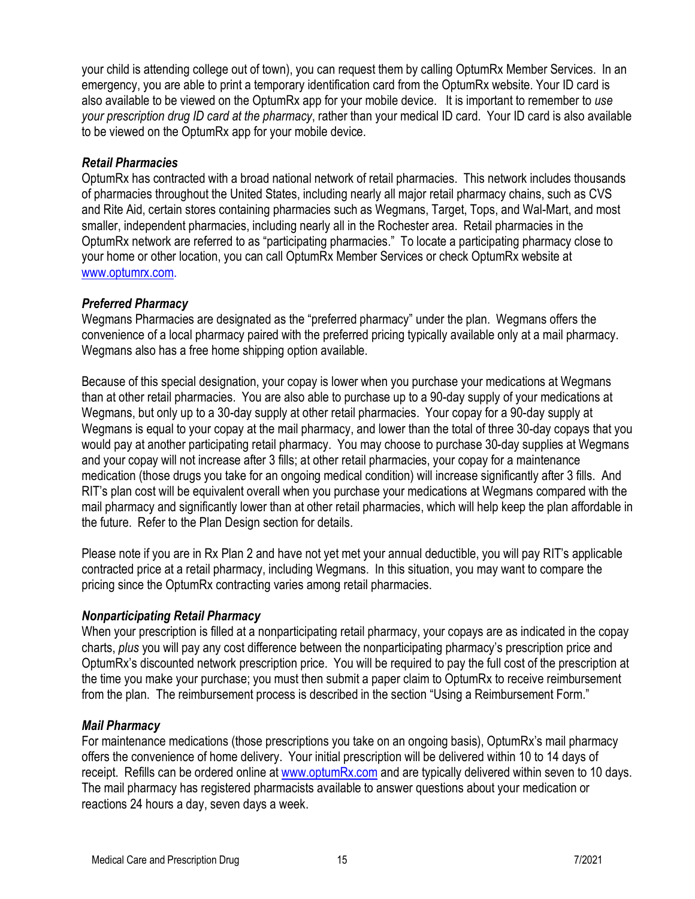your child is attending college out of town), you can request them by calling OptumRx Member Services. In an emergency, you are able to print a temporary identification card from the OptumRx website. Your ID card is also available to be viewed on the OptumRx app for your mobile device. It is important to remember to *use your prescription drug ID card at the pharmacy*, rather than your medical ID card. Your ID card is also available to be viewed on the OptumRx app for your mobile device.

#### <span id="page-14-0"></span>*Retail Pharmacies*

OptumRx has contracted with a broad national network of retail pharmacies. This network includes thousands of pharmacies throughout the United States, including nearly all major retail pharmacy chains, such as CVS and Rite Aid, certain stores containing pharmacies such as Wegmans, Target, Tops, and Wal-Mart, and most smaller, independent pharmacies, including nearly all in the Rochester area. Retail pharmacies in the OptumRx network are referred to as "participating pharmacies." To locate a participating pharmacy close to your home or other location, you can call OptumRx Member Services or check OptumRx website at [www.optumrx.com.](http://www.optumrx.com/)

#### <span id="page-14-1"></span>*Preferred Pharmacy*

Wegmans Pharmacies are designated as the "preferred pharmacy" under the plan. Wegmans offers the convenience of a local pharmacy paired with the preferred pricing typically available only at a mail pharmacy. Wegmans also has a free home shipping option available.

Because of this special designation, your copay is lower when you purchase your medications at Wegmans than at other retail pharmacies. You are also able to purchase up to a 90-day supply of your medications at Wegmans, but only up to a 30-day supply at other retail pharmacies. Your copay for a 90-day supply at Wegmans is equal to your copay at the mail pharmacy, and lower than the total of three 30-day copays that you would pay at another participating retail pharmacy. You may choose to purchase 30-day supplies at Wegmans and your copay will not increase after 3 fills; at other retail pharmacies, your copay for a maintenance medication (those drugs you take for an ongoing medical condition) will increase significantly after 3 fills. And RIT's plan cost will be equivalent overall when you purchase your medications at Wegmans compared with the mail pharmacy and significantly lower than at other retail pharmacies, which will help keep the plan affordable in the future. Refer to the Plan Design section for details.

Please note if you are in Rx Plan 2 and have not yet met your annual deductible, you will pay RIT's applicable contracted price at a retail pharmacy, including Wegmans. In this situation, you may want to compare the pricing since the OptumRx contracting varies among retail pharmacies.

#### <span id="page-14-2"></span>*Nonparticipating Retail Pharmacy*

When your prescription is filled at a nonparticipating retail pharmacy, your copays are as indicated in the copay charts, *plus* you will pay any cost difference between the nonparticipating pharmacy's prescription price and OptumRx's discounted network prescription price. You will be required to pay the full cost of the prescription at the time you make your purchase; you must then submit a paper claim to OptumRx to receive reimbursement from the plan. The reimbursement process is described in the section "Using a Reimbursement Form."

#### <span id="page-14-3"></span>*Mail Pharmacy*

For maintenance medications (those prescriptions you take on an ongoing basis), OptumRx's mail pharmacy offers the convenience of home delivery. Your initial prescription will be delivered within 10 to 14 days of receipt. Refills can be ordered online at [www.optumRx.com](http://www.optumrx.com/) and are typically delivered within seven to 10 days. The mail pharmacy has registered pharmacists available to answer questions about your medication or reactions 24 hours a day, seven days a week.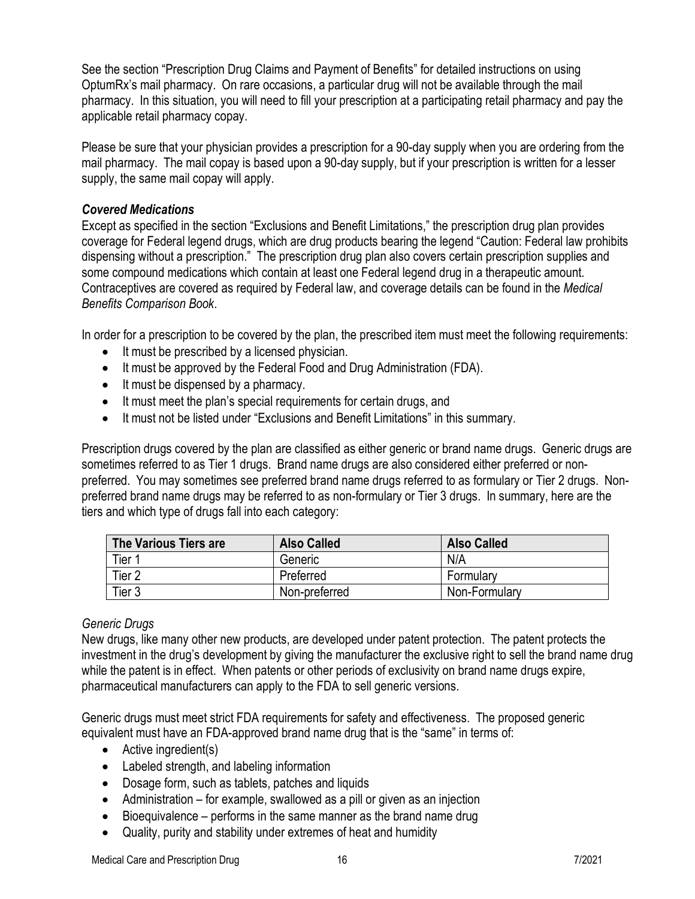See the section "Prescription Drug Claims and Payment of Benefits" for detailed instructions on using OptumRx's mail pharmacy. On rare occasions, a particular drug will not be available through the mail pharmacy. In this situation, you will need to fill your prescription at a participating retail pharmacy and pay the applicable retail pharmacy copay.

Please be sure that your physician provides a prescription for a 90-day supply when you are ordering from the mail pharmacy. The mail copay is based upon a 90-day supply, but if your prescription is written for a lesser supply, the same mail copay will apply.

#### <span id="page-15-0"></span>*Covered Medications*

Except as specified in the section "Exclusions and Benefit Limitations," the prescription drug plan provides coverage for Federal legend drugs, which are drug products bearing the legend "Caution: Federal law prohibits dispensing without a prescription." The prescription drug plan also covers certain prescription supplies and some compound medications which contain at least one Federal legend drug in a therapeutic amount. Contraceptives are covered as required by Federal law, and coverage details can be found in the *Medical Benefits Comparison Book*.

In order for a prescription to be covered by the plan, the prescribed item must meet the following requirements:

- It must be prescribed by a licensed physician.
- It must be approved by the Federal Food and Drug Administration (FDA).
- It must be dispensed by a pharmacy.
- It must meet the plan's special requirements for certain drugs, and
- It must not be listed under "Exclusions and Benefit Limitations" in this summary.

Prescription drugs covered by the plan are classified as either generic or brand name drugs. Generic drugs are sometimes referred to as Tier 1 drugs. Brand name drugs are also considered either preferred or nonpreferred. You may sometimes see preferred brand name drugs referred to as formulary or Tier 2 drugs. Nonpreferred brand name drugs may be referred to as non-formulary or Tier 3 drugs. In summary, here are the tiers and which type of drugs fall into each category:

| The Various Tiers are | <b>Also Called</b> | <b>Also Called</b> |
|-----------------------|--------------------|--------------------|
| Tier 1                | Generic            | N/A                |
| Tier <sub>2</sub>     | Preferred          | Formulary          |
| Tier <sub>3</sub>     | Non-preferred      | Non-Formulary      |

#### *Generic Drugs*

New drugs, like many other new products, are developed under patent protection. The patent protects the investment in the drug's development by giving the manufacturer the exclusive right to sell the brand name drug while the patent is in effect. When patents or other periods of exclusivity on brand name drugs expire, pharmaceutical manufacturers can apply to the FDA to sell generic versions.

Generic drugs must meet strict FDA requirements for safety and effectiveness. The proposed generic equivalent must have an FDA-approved brand name drug that is the "same" in terms of:

- Active ingredient(s)
- Labeled strength, and labeling information
- Dosage form, such as tablets, patches and liquids
- Administration for example, swallowed as a pill or given as an injection
- Bioequivalence performs in the same manner as the brand name drug
- Quality, purity and stability under extremes of heat and humidity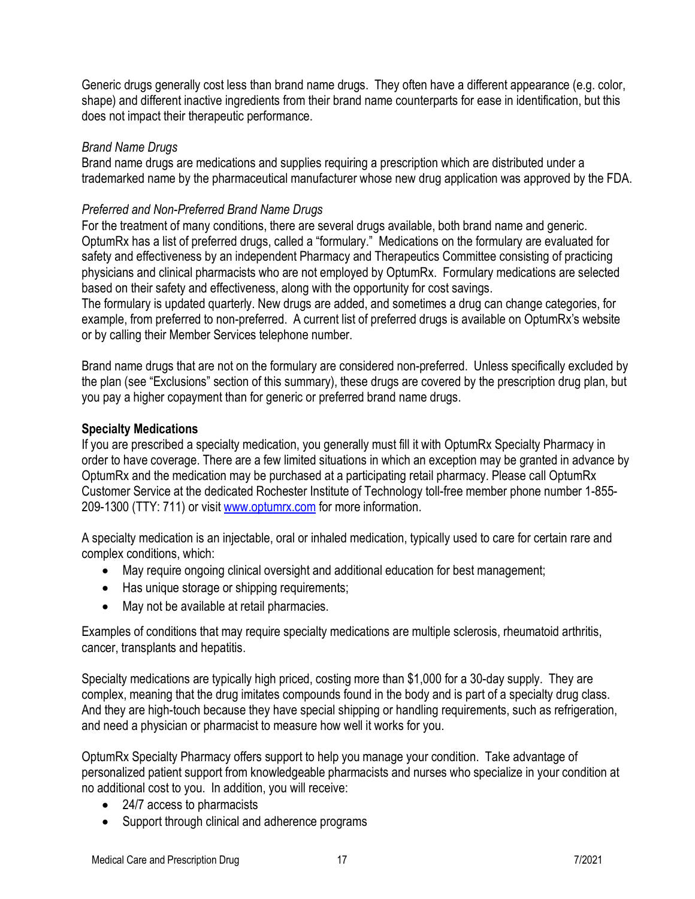Generic drugs generally cost less than brand name drugs. They often have a different appearance (e.g. color, shape) and different inactive ingredients from their brand name counterparts for ease in identification, but this does not impact their therapeutic performance.

#### *Brand Name Drugs*

Brand name drugs are medications and supplies requiring a prescription which are distributed under a trademarked name by the pharmaceutical manufacturer whose new drug application was approved by the FDA.

#### *Preferred and Non-Preferred Brand Name Drugs*

For the treatment of many conditions, there are several drugs available, both brand name and generic. OptumRx has a list of preferred drugs, called a "formulary." Medications on the formulary are evaluated for safety and effectiveness by an independent Pharmacy and Therapeutics Committee consisting of practicing physicians and clinical pharmacists who are not employed by OptumRx. Formulary medications are selected based on their safety and effectiveness, along with the opportunity for cost savings.

The formulary is updated quarterly. New drugs are added, and sometimes a drug can change categories, for example, from preferred to non-preferred. A current list of preferred drugs is available on OptumRx's website or by calling their Member Services telephone number.

Brand name drugs that are not on the formulary are considered non-preferred. Unless specifically excluded by the plan (see "Exclusions" section of this summary), these drugs are covered by the prescription drug plan, but you pay a higher copayment than for generic or preferred brand name drugs.

#### **Specialty Medications**

If you are prescribed a specialty medication, you generally must fill it with OptumRx Specialty Pharmacy in order to have coverage. There are a few limited situations in which an exception may be granted in advance by OptumRx and the medication may be purchased at a participating retail pharmacy. Please call OptumRx Customer Service at the dedicated Rochester Institute of Technology toll-free member phone number 1-855- 209-1300 (TTY: 711) or visit [www.optumrx.com](http://www.optumrx.com/) for more information.

A specialty medication is an injectable, oral or inhaled medication, typically used to care for certain rare and complex conditions, which:

- May require ongoing clinical oversight and additional education for best management;
- Has unique storage or shipping requirements;
- May not be available at retail pharmacies.

Examples of conditions that may require specialty medications are multiple sclerosis, rheumatoid arthritis, cancer, transplants and hepatitis.

Specialty medications are typically high priced, costing more than \$1,000 for a 30-day supply. They are complex, meaning that the drug imitates compounds found in the body and is part of a specialty drug class. And they are high-touch because they have special shipping or handling requirements, such as refrigeration, and need a physician or pharmacist to measure how well it works for you.

OptumRx Specialty Pharmacy offers support to help you manage your condition. Take advantage of personalized patient support from knowledgeable pharmacists and nurses who specialize in your condition at no additional cost to you. In addition, you will receive:

- 24/7 access to pharmacists
- Support through clinical and adherence programs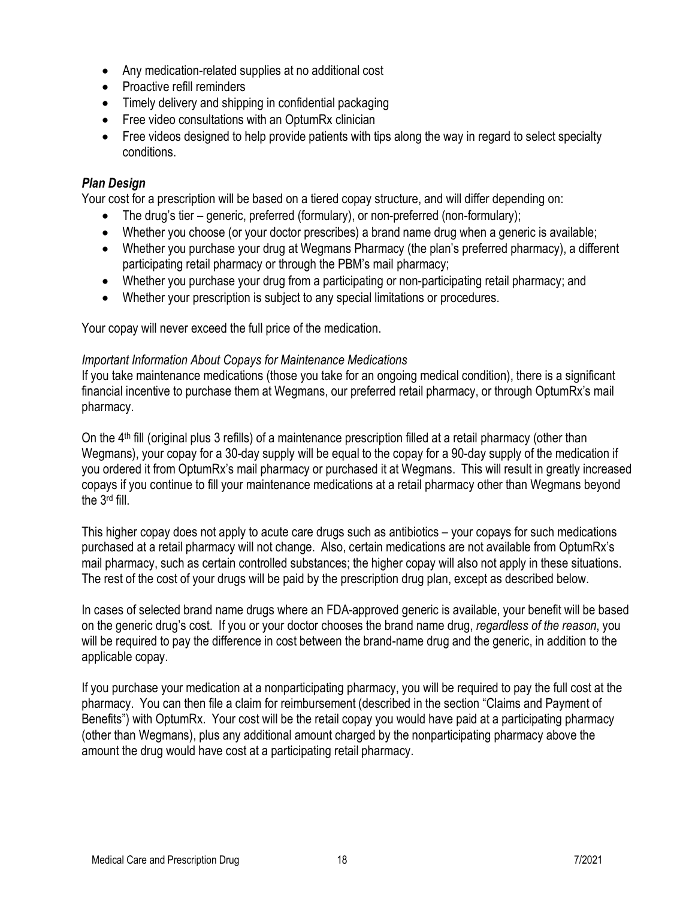- Any medication-related supplies at no additional cost
- Proactive refill reminders
- Timely delivery and shipping in confidential packaging
- Free video consultations with an OptumRx clinician
- Free videos designed to help provide patients with tips along the way in regard to select specialty conditions.

#### <span id="page-17-0"></span>*Plan Design*

Your cost for a prescription will be based on a tiered copay structure, and will differ depending on:

- The drug's tier generic, preferred (formulary), or non-preferred (non-formulary);
- Whether you choose (or your doctor prescribes) a brand name drug when a generic is available;
- Whether you purchase your drug at Wegmans Pharmacy (the plan's preferred pharmacy), a different participating retail pharmacy or through the PBM's mail pharmacy;
- Whether you purchase your drug from a participating or non-participating retail pharmacy; and
- Whether your prescription is subject to any special limitations or procedures.

Your copay will never exceed the full price of the medication.

#### *Important Information About Copays for Maintenance Medications*

If you take maintenance medications (those you take for an ongoing medical condition), there is a significant financial incentive to purchase them at Wegmans, our preferred retail pharmacy, or through OptumRx's mail pharmacy.

On the 4<sup>th</sup> fill (original plus 3 refills) of a maintenance prescription filled at a retail pharmacy (other than Wegmans), your copay for a 30-day supply will be equal to the copay for a 90-day supply of the medication if you ordered it from OptumRx's mail pharmacy or purchased it at Wegmans. This will result in greatly increased copays if you continue to fill your maintenance medications at a retail pharmacy other than Wegmans beyond the 3rd fill.

This higher copay does not apply to acute care drugs such as antibiotics – your copays for such medications purchased at a retail pharmacy will not change. Also, certain medications are not available from OptumRx's mail pharmacy, such as certain controlled substances; the higher copay will also not apply in these situations. The rest of the cost of your drugs will be paid by the prescription drug plan, except as described below.

In cases of selected brand name drugs where an FDA-approved generic is available, your benefit will be based on the generic drug's cost. If you or your doctor chooses the brand name drug, *regardless of the reason*, you will be required to pay the difference in cost between the brand-name drug and the generic, in addition to the applicable copay.

If you purchase your medication at a nonparticipating pharmacy, you will be required to pay the full cost at the pharmacy. You can then file a claim for reimbursement (described in the section "Claims and Payment of Benefits") with OptumRx. Your cost will be the retail copay you would have paid at a participating pharmacy (other than Wegmans), plus any additional amount charged by the nonparticipating pharmacy above the amount the drug would have cost at a participating retail pharmacy.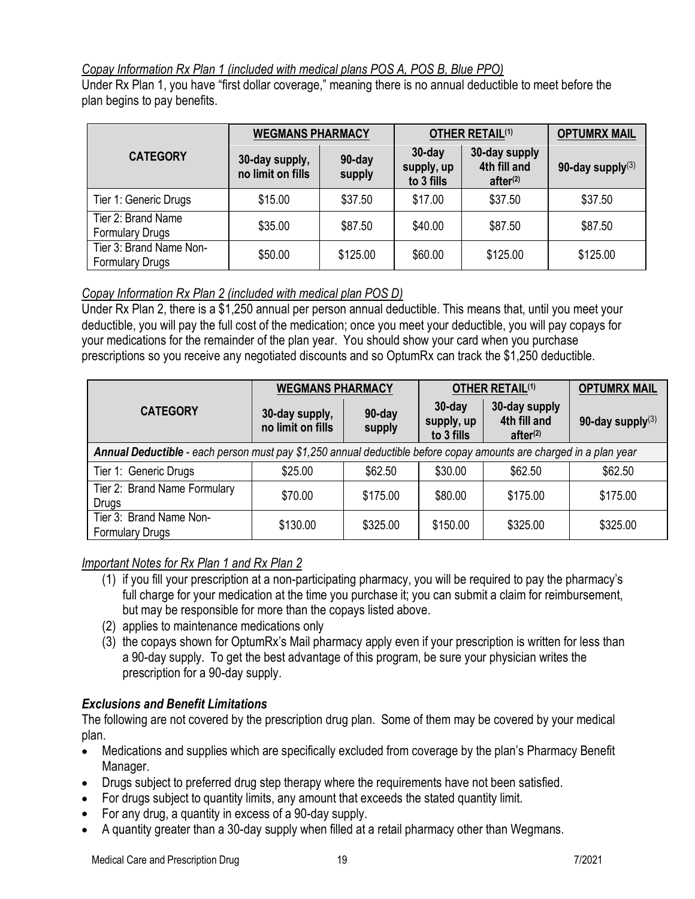#### <span id="page-18-0"></span>*Copay Information Rx Plan 1 (included with medical plans POS A, POS B, Blue PPO)*

Under Rx Plan 1, you have "first dollar coverage," meaning there is no annual deductible to meet before the plan begins to pay benefits.

|                                                   | <b>WEGMANS PHARMACY</b>             |                  | <b>OTHER RETAIL(1)</b>                |                                                       | <b>OPTUMRX MAIL</b> |
|---------------------------------------------------|-------------------------------------|------------------|---------------------------------------|-------------------------------------------------------|---------------------|
| <b>CATEGORY</b>                                   | 30-day supply,<br>no limit on fills | 90-day<br>supply | $30$ -day<br>supply, up<br>to 3 fills | 30-day supply<br>4th fill and<br>after <sup>(2)</sup> | 90-day supply $(3)$ |
| Tier 1: Generic Drugs                             | \$15.00                             | \$37.50          | \$17.00                               | \$37.50                                               | \$37.50             |
| Tier 2: Brand Name<br><b>Formulary Drugs</b>      | \$35.00                             | \$87.50          | \$40.00                               | \$87.50                                               | \$87.50             |
| Tier 3: Brand Name Non-<br><b>Formulary Drugs</b> | \$50.00                             | \$125.00         | \$60.00                               | \$125.00                                              | \$125.00            |

# <span id="page-18-1"></span>*Copay Information Rx Plan 2 (included with medical plan POS D)*

Under Rx Plan 2, there is a \$1,250 annual per person annual deductible. This means that, until you meet your deductible, you will pay the full cost of the medication; once you meet your deductible, you will pay copays for your medications for the remainder of the plan year. You should show your card when you purchase prescriptions so you receive any negotiated discounts and so OptumRx can track the \$1,250 deductible.

|                                                                                                                    | <b>WEGMANS PHARMACY</b>             |                  | <b>OTHER RETAIL(1)</b>                |                                                       | <b>OPTUMRX MAIL</b> |
|--------------------------------------------------------------------------------------------------------------------|-------------------------------------|------------------|---------------------------------------|-------------------------------------------------------|---------------------|
| <b>CATEGORY</b>                                                                                                    | 30-day supply,<br>no limit on fills | 90-day<br>supply | $30$ -day<br>supply, up<br>to 3 fills | 30-day supply<br>4th fill and<br>after <sup>(2)</sup> | 90-day supply $(3)$ |
| Annual Deductible - each person must pay \$1,250 annual deductible before copay amounts are charged in a plan year |                                     |                  |                                       |                                                       |                     |
| Tier 1: Generic Drugs                                                                                              | \$25.00                             | \$62.50          | \$30.00                               | \$62.50                                               | \$62.50             |
| Tier 2: Brand Name Formulary<br>Drugs                                                                              | \$70.00                             | \$175.00         | \$80.00                               | \$175.00                                              | \$175.00            |
| Tier 3: Brand Name Non-<br><b>Formulary Drugs</b>                                                                  | \$130.00                            | \$325.00         | \$150.00                              | \$325.00                                              | \$325.00            |

#### <span id="page-18-2"></span>*Important Notes for Rx Plan 1 and Rx Plan 2*

- (1) if you fill your prescription at a non-participating pharmacy, you will be required to pay the pharmacy's full charge for your medication at the time you purchase it; you can submit a claim for reimbursement, but may be responsible for more than the copays listed above.
- (2) applies to maintenance medications only
- (3) the copays shown for OptumRx's Mail pharmacy apply even if your prescription is written for less than a 90-day supply. To get the best advantage of this program, be sure your physician writes the prescription for a 90-day supply.

# <span id="page-18-3"></span>*Exclusions and Benefit Limitations*

The following are not covered by the prescription drug plan. Some of them may be covered by your medical plan.

- Medications and supplies which are specifically excluded from coverage by the plan's Pharmacy Benefit Manager.
- Drugs subject to preferred drug step therapy where the requirements have not been satisfied.
- For drugs subject to quantity limits, any amount that exceeds the stated quantity limit.
- For any drug, a quantity in excess of a 90-day supply.
- A quantity greater than a 30-day supply when filled at a retail pharmacy other than Wegmans.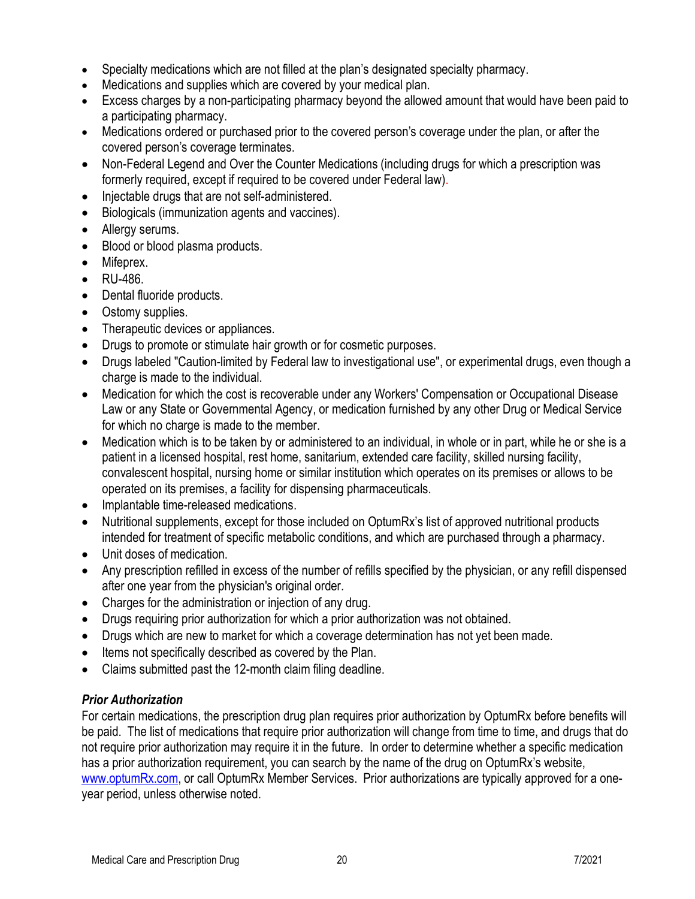- Specialty medications which are not filled at the plan's designated specialty pharmacy.
- Medications and supplies which are covered by your medical plan.
- Excess charges by a non-participating pharmacy beyond the allowed amount that would have been paid to a participating pharmacy.
- Medications ordered or purchased prior to the covered person's coverage under the plan, or after the covered person's coverage terminates.
- Non-Federal Legend and Over the Counter Medications (including drugs for which a prescription was formerly required, except if required to be covered under Federal law).
- Injectable drugs that are not self-administered.
- Biologicals (immunization agents and vaccines).
- Allergy serums.
- Blood or blood plasma products.
- Mifeprex.
- RU-486.
- Dental fluoride products.
- Ostomy supplies.
- Therapeutic devices or appliances.
- Drugs to promote or stimulate hair growth or for cosmetic purposes.
- Drugs labeled "Caution-limited by Federal law to investigational use", or experimental drugs, even though a charge is made to the individual.
- Medication for which the cost is recoverable under any Workers' Compensation or Occupational Disease Law or any State or Governmental Agency, or medication furnished by any other Drug or Medical Service for which no charge is made to the member.
- Medication which is to be taken by or administered to an individual, in whole or in part, while he or she is a patient in a licensed hospital, rest home, sanitarium, extended care facility, skilled nursing facility, convalescent hospital, nursing home or similar institution which operates on its premises or allows to be operated on its premises, a facility for dispensing pharmaceuticals.
- Implantable time-released medications.
- Nutritional supplements, except for those included on OptumRx's list of approved nutritional products intended for treatment of specific metabolic conditions, and which are purchased through a pharmacy.
- Unit doses of medication.
- Any prescription refilled in excess of the number of refills specified by the physician, or any refill dispensed after one year from the physician's original order.
- Charges for the administration or injection of any drug.
- Drugs requiring prior authorization for which a prior authorization was not obtained.
- Drugs which are new to market for which a coverage determination has not yet been made.
- Items not specifically described as covered by the Plan.
- Claims submitted past the 12-month claim filing deadline.

#### <span id="page-19-0"></span>*Prior Authorization*

For certain medications, the prescription drug plan requires prior authorization by OptumRx before benefits will be paid. The list of medications that require prior authorization will change from time to time, and drugs that do not require prior authorization may require it in the future. In order to determine whether a specific medication has a prior authorization requirement, you can search by the name of the drug on OptumRx's website, [www.optumRx.com,](http://www.optumrx.com/) or call OptumRx Member Services. Prior authorizations are typically approved for a oneyear period, unless otherwise noted.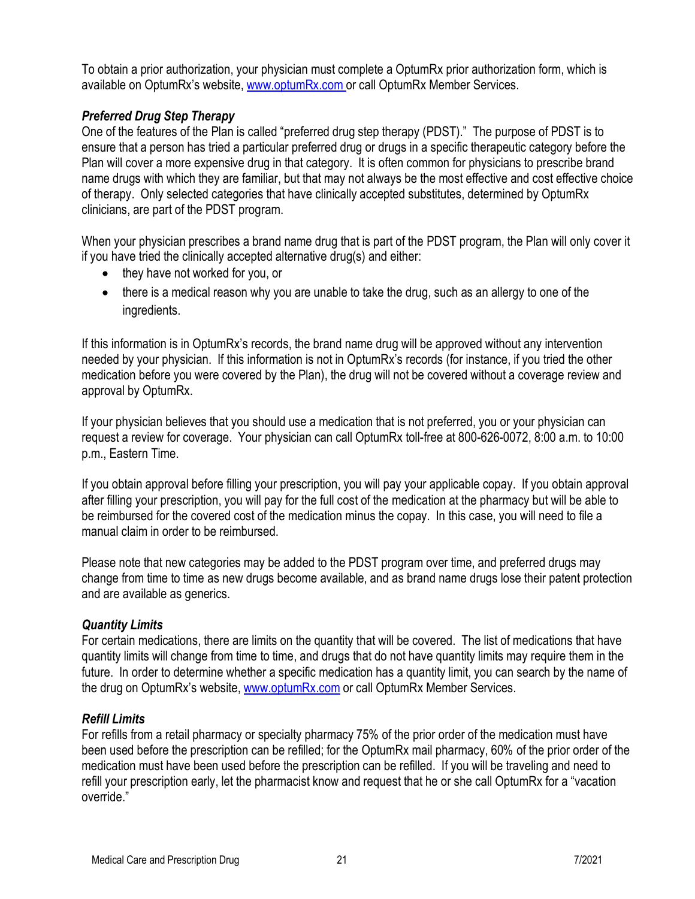To obtain a prior authorization, your physician must complete a OptumRx prior authorization form, which is available on OptumRx's website, [www.optumRx.com](http://www.optumrx.com/) or call OptumRx Member Services.

# <span id="page-20-0"></span>*Preferred Drug Step Therapy*

One of the features of the Plan is called "preferred drug step therapy (PDST)." The purpose of PDST is to ensure that a person has tried a particular preferred drug or drugs in a specific therapeutic category before the Plan will cover a more expensive drug in that category. It is often common for physicians to prescribe brand name drugs with which they are familiar, but that may not always be the most effective and cost effective choice of therapy. Only selected categories that have clinically accepted substitutes, determined by OptumRx clinicians, are part of the PDST program.

When your physician prescribes a brand name drug that is part of the PDST program, the Plan will only cover it if you have tried the clinically accepted alternative drug(s) and either:

- they have not worked for you, or
- there is a medical reason why you are unable to take the drug, such as an allergy to one of the ingredients.

If this information is in OptumRx's records, the brand name drug will be approved without any intervention needed by your physician. If this information is not in OptumRx's records (for instance, if you tried the other medication before you were covered by the Plan), the drug will not be covered without a coverage review and approval by OptumRx.

If your physician believes that you should use a medication that is not preferred, you or your physician can request a review for coverage. Your physician can call OptumRx toll-free at 800-626-0072, 8:00 a.m. to 10:00 p.m., Eastern Time.

If you obtain approval before filling your prescription, you will pay your applicable copay. If you obtain approval after filling your prescription, you will pay for the full cost of the medication at the pharmacy but will be able to be reimbursed for the covered cost of the medication minus the copay. In this case, you will need to file a manual claim in order to be reimbursed.

Please note that new categories may be added to the PDST program over time, and preferred drugs may change from time to time as new drugs become available, and as brand name drugs lose their patent protection and are available as generics.

#### <span id="page-20-1"></span>*Quantity Limits*

For certain medications, there are limits on the quantity that will be covered. The list of medications that have quantity limits will change from time to time, and drugs that do not have quantity limits may require them in the future. In order to determine whether a specific medication has a quantity limit, you can search by the name of the drug on OptumRx's website, [www.optumRx.com](http://www.optumrx.com/) or call OptumRx Member Services.

#### <span id="page-20-2"></span>*Refill Limits*

For refills from a retail pharmacy or specialty pharmacy 75% of the prior order of the medication must have been used before the prescription can be refilled; for the OptumRx mail pharmacy, 60% of the prior order of the medication must have been used before the prescription can be refilled. If you will be traveling and need to refill your prescription early, let the pharmacist know and request that he or she call OptumRx for a "vacation override."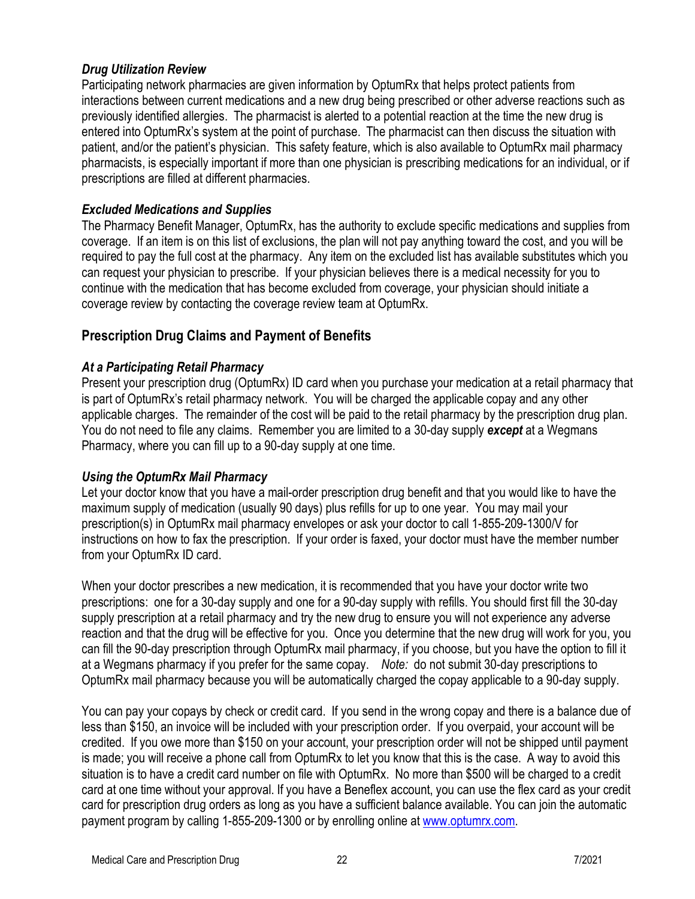#### <span id="page-21-0"></span>*Drug Utilization Review*

Participating network pharmacies are given information by OptumRx that helps protect patients from interactions between current medications and a new drug being prescribed or other adverse reactions such as previously identified allergies. The pharmacist is alerted to a potential reaction at the time the new drug is entered into OptumRx's system at the point of purchase. The pharmacist can then discuss the situation with patient, and/or the patient's physician. This safety feature, which is also available to OptumRx mail pharmacy pharmacists, is especially important if more than one physician is prescribing medications for an individual, or if prescriptions are filled at different pharmacies.

### <span id="page-21-1"></span>*Excluded Medications and Supplies*

The Pharmacy Benefit Manager, OptumRx, has the authority to exclude specific medications and supplies from coverage. If an item is on this list of exclusions, the plan will not pay anything toward the cost, and you will be required to pay the full cost at the pharmacy. Any item on the excluded list has available substitutes which you can request your physician to prescribe. If your physician believes there is a medical necessity for you to continue with the medication that has become excluded from coverage, your physician should initiate a coverage review by contacting the coverage review team at OptumRx.

# <span id="page-21-2"></span>**Prescription Drug Claims and Payment of Benefits**

### <span id="page-21-3"></span>*At a Participating Retail Pharmacy*

Present your prescription drug (OptumRx) ID card when you purchase your medication at a retail pharmacy that is part of OptumRx's retail pharmacy network. You will be charged the applicable copay and any other applicable charges. The remainder of the cost will be paid to the retail pharmacy by the prescription drug plan. You do not need to file any claims. Remember you are limited to a 30-day supply *except* at a Wegmans Pharmacy, where you can fill up to a 90-day supply at one time.

#### <span id="page-21-4"></span>*Using the OptumRx Mail Pharmacy*

Let your doctor know that you have a mail-order prescription drug benefit and that you would like to have the maximum supply of medication (usually 90 days) plus refills for up to one year. You may mail your prescription(s) in OptumRx mail pharmacy envelopes or ask your doctor to call 1-855-209-1300/V for instructions on how to fax the prescription. If your order is faxed, your doctor must have the member number from your OptumRx ID card.

When your doctor prescribes a new medication, it is recommended that you have your doctor write two prescriptions: one for a 30-day supply and one for a 90-day supply with refills. You should first fill the 30-day supply prescription at a retail pharmacy and try the new drug to ensure you will not experience any adverse reaction and that the drug will be effective for you. Once you determine that the new drug will work for you, you can fill the 90-day prescription through OptumRx mail pharmacy, if you choose, but you have the option to fill it at a Wegmans pharmacy if you prefer for the same copay. *Note:* do not submit 30-day prescriptions to OptumRx mail pharmacy because you will be automatically charged the copay applicable to a 90-day supply.

You can pay your copays by check or credit card. If you send in the wrong copay and there is a balance due of less than \$150, an invoice will be included with your prescription order. If you overpaid, your account will be credited. If you owe more than \$150 on your account, your prescription order will not be shipped until payment is made; you will receive a phone call from OptumRx to let you know that this is the case. A way to avoid this situation is to have a credit card number on file with OptumRx. No more than \$500 will be charged to a credit card at one time without your approval. If you have a Beneflex account, you can use the flex card as your credit card for prescription drug orders as long as you have a sufficient balance available. You can join the automatic payment program by calling 1-855-209-1300 or by enrolling online at [www.optumrx.com.](http://www.optumrx.com/)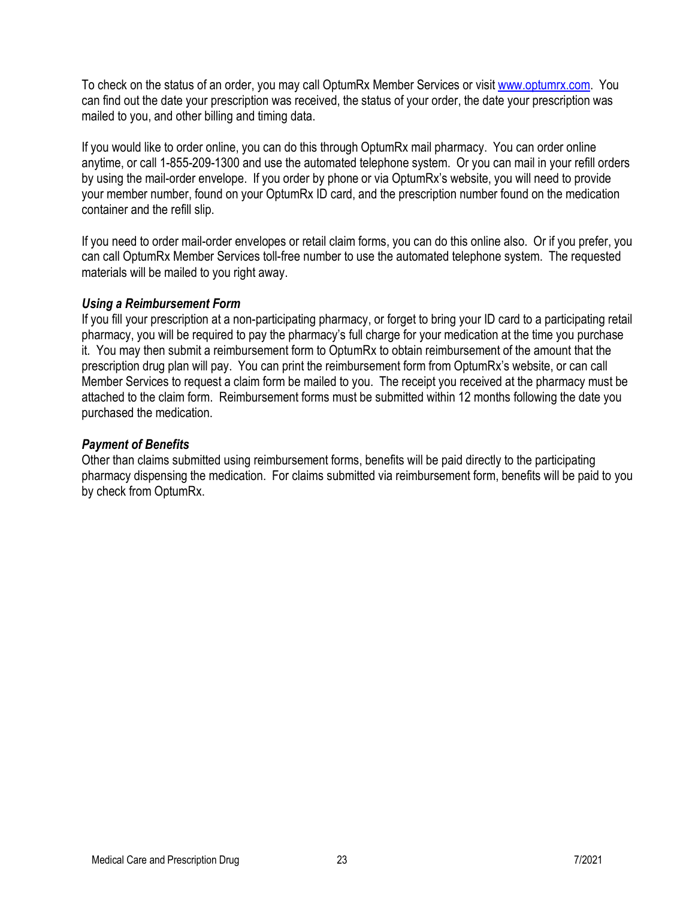To check on the status of an order, you may call OptumRx Member Services or visit [www.optumrx.com.](http://www.optumrx.com/) You can find out the date your prescription was received, the status of your order, the date your prescription was mailed to you, and other billing and timing data.

If you would like to order online, you can do this through OptumRx mail pharmacy. You can order online anytime, or call 1-855-209-1300 and use the automated telephone system. Or you can mail in your refill orders by using the mail-order envelope. If you order by phone or via OptumRx's website, you will need to provide your member number, found on your OptumRx ID card, and the prescription number found on the medication container and the refill slip.

If you need to order mail-order envelopes or retail claim forms, you can do this online also. Or if you prefer, you can call OptumRx Member Services toll-free number to use the automated telephone system. The requested materials will be mailed to you right away.

#### <span id="page-22-0"></span>*Using a Reimbursement Form*

If you fill your prescription at a non-participating pharmacy, or forget to bring your ID card to a participating retail pharmacy, you will be required to pay the pharmacy's full charge for your medication at the time you purchase it. You may then submit a reimbursement form to OptumRx to obtain reimbursement of the amount that the prescription drug plan will pay. You can print the reimbursement form from OptumRx's website, or can call Member Services to request a claim form be mailed to you. The receipt you received at the pharmacy must be attached to the claim form. Reimbursement forms must be submitted within 12 months following the date you purchased the medication.

#### <span id="page-22-1"></span>*Payment of Benefits*

Other than claims submitted using reimbursement forms, benefits will be paid directly to the participating pharmacy dispensing the medication. For claims submitted via reimbursement form, benefits will be paid to you by check from OptumRx.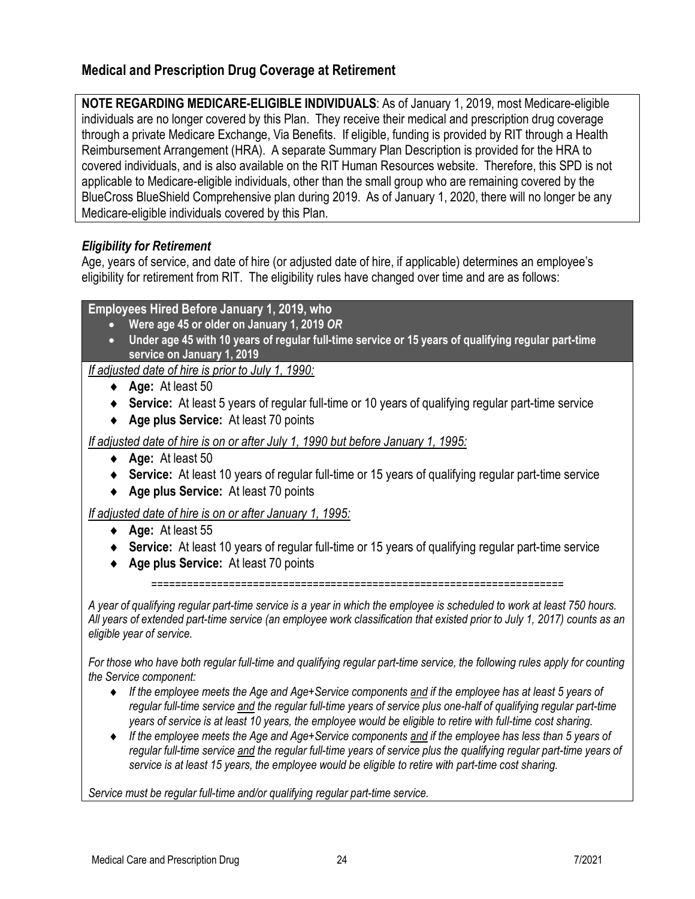# <span id="page-23-0"></span>**Medical and Prescription Drug Coverage at Retirement**

**NOTE REGARDING MEDICARE-ELIGIBLE INDIVIDUALS**: As of January 1, 2019, most Medicare-eligible individuals are no longer covered by this Plan. They receive their medical and prescription drug coverage through a private Medicare Exchange, Via Benefits. If eligible, funding is provided by RIT through a Health Reimbursement Arrangement (HRA). A separate Summary Plan Description is provided for the HRA to covered individuals, and is also available on the RIT Human Resources website. Therefore, this SPD is not applicable to Medicare-eligible individuals, other than the small group who are remaining covered by the BlueCross BlueShield Comprehensive plan during 2019. As of January 1, 2020, there will no longer be any Medicare-eligible individuals covered by this Plan.

#### <span id="page-23-1"></span>*Eligibility for Retirement*

Age, years of service, and date of hire (or adjusted date of hire, if applicable) determines an employee's eligibility for retirement from RIT. The eligibility rules have changed over time and are as follows:

#### **Employees Hired Before January 1, 2019, who**

- **Were age 45 or older on January 1, 2019** *OR*
- **Under age 45 with 10 years of regular full-time service or 15 years of qualifying regular part-time service on January 1, 2019**

*If adjusted date of hire is prior to July 1, 1990:*

- ♦ **Age:** At least 50
- ♦ **Service:** At least 5 years of regular full-time or 10 years of qualifying regular part-time service
- ♦ **Age plus Service:** At least 70 points

*If adjusted date of hire is on or after July 1, 1990 but before January 1, 1995:*

- ♦ **Age:** At least 50
- ♦ **Service:** At least 10 years of regular full-time or 15 years of qualifying regular part-time service
- ♦ **Age plus Service:** At least 70 points

*If adjusted date of hire is on or after January 1, 1995:*

- ♦ **Age:** At least 55
- ♦ **Service:** At least 10 years of regular full-time or 15 years of qualifying regular part-time service
- ♦ **Age plus Service:** At least 70 points

=====================================================================

*A year of qualifying regular part-time service is a year in which the employee is scheduled to work at least 750 hours. All years of extended part-time service (an employee work classification that existed prior to July 1, 2017) counts as an eligible year of service.*

*For those who have both regular full-time and qualifying regular part-time service, the following rules apply for counting the Service component:*

- ♦ *If the employee meets the Age and Age+Service components and if the employee has at least 5 years of regular full-time service and the regular full-time years of service plus one-half of qualifying regular part-time years of service is at least 10 years, the employee would be eligible to retire with full-time cost sharing.*
- ♦ *If the employee meets the Age and Age+Service components and if the employee has less than 5 years of regular full-time service and the regular full-time years of service plus the qualifying regular part-time years of service is at least 15 years, the employee would be eligible to retire with part-time cost sharing.*

*Service must be regular full-time and/or qualifying regular part-time service.*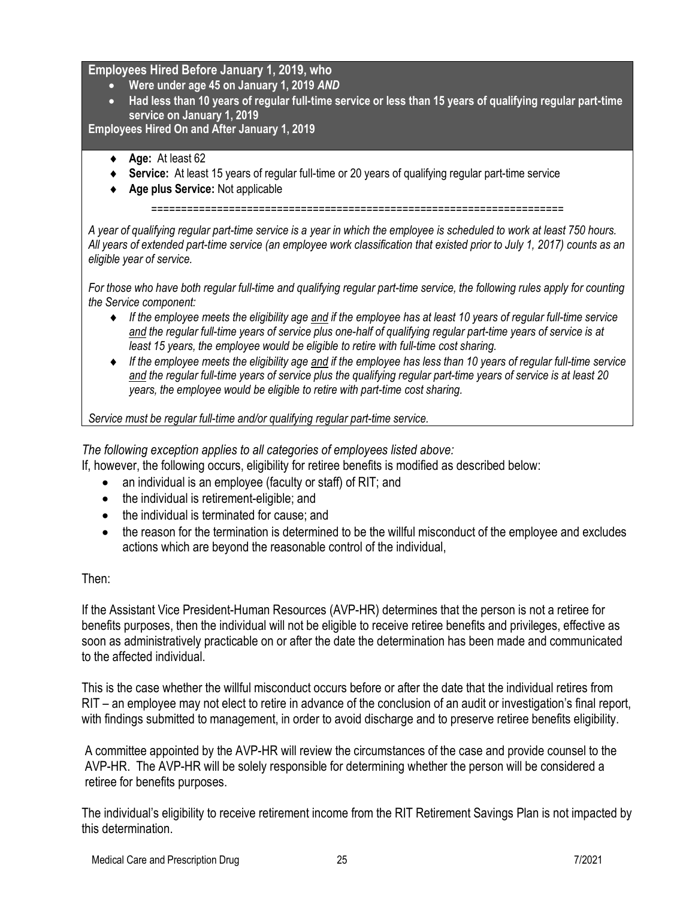#### **Employees Hired Before January 1, 2019, who**

- **Were under age 45 on January 1, 2019** *AND*
- **Had less than 10 years of regular full-time service or less than 15 years of qualifying regular part-time service on January 1, 2019**

**Employees Hired On and After January 1, 2019**

- ♦ **Age:** At least 62
- ♦ **Service:** At least 15 years of regular full-time or 20 years of qualifying regular part-time service
- ♦ **Age plus Service:** Not applicable

=====================================================================

*A year of qualifying regular part-time service is a year in which the employee is scheduled to work at least 750 hours. All years of extended part-time service (an employee work classification that existed prior to July 1, 2017) counts as an eligible year of service.*

*For those who have both regular full-time and qualifying regular part-time service, the following rules apply for counting the Service component:*

- ♦ *If the employee meets the eligibility age and if the employee has at least 10 years of regular full-time service and the regular full-time years of service plus one-half of qualifying regular part-time years of service is at least 15 years, the employee would be eligible to retire with full-time cost sharing.*
- ♦ *If the employee meets the eligibility age and if the employee has less than 10 years of regular full-time service and the regular full-time years of service plus the qualifying regular part-time years of service is at least 20 years, the employee would be eligible to retire with part-time cost sharing.*

*Service must be regular full-time and/or qualifying regular part-time service.*

*The following exception applies to all categories of employees listed above:* 

- If, however, the following occurs, eligibility for retiree benefits is modified as described below:
	- an individual is an employee (faculty or staff) of RIT; and
	- the individual is retirement-eligible; and
	- the individual is terminated for cause; and
	- the reason for the termination is determined to be the willful misconduct of the employee and excludes actions which are beyond the reasonable control of the individual,

#### Then:

If the Assistant Vice President-Human Resources (AVP-HR) determines that the person is not a retiree for benefits purposes, then the individual will not be eligible to receive retiree benefits and privileges, effective as soon as administratively practicable on or after the date the determination has been made and communicated to the affected individual.

This is the case whether the willful misconduct occurs before or after the date that the individual retires from RIT – an employee may not elect to retire in advance of the conclusion of an audit or investigation's final report, with findings submitted to management, in order to avoid discharge and to preserve retiree benefits eligibility.

A committee appointed by the AVP-HR will review the circumstances of the case and provide counsel to the AVP-HR. The AVP-HR will be solely responsible for determining whether the person will be considered a retiree for benefits purposes.

The individual's eligibility to receive retirement income from the RIT Retirement Savings Plan is not impacted by this determination.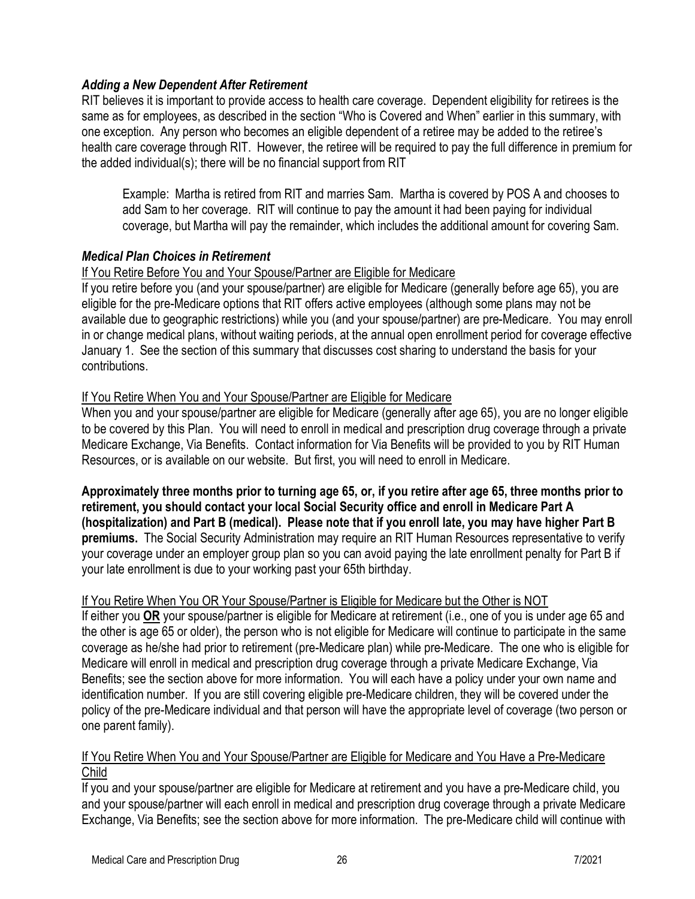#### <span id="page-25-0"></span>*Adding a New Dependent After Retirement*

RIT believes it is important to provide access to health care coverage. Dependent eligibility for retirees is the same as for employees, as described in the section "Who is Covered and When" earlier in this summary, with one exception. Any person who becomes an eligible dependent of a retiree may be added to the retiree's health care coverage through RIT. However, the retiree will be required to pay the full difference in premium for the added individual(s); there will be no financial support from RIT

Example: Martha is retired from RIT and marries Sam. Martha is covered by POS A and chooses to add Sam to her coverage. RIT will continue to pay the amount it had been paying for individual coverage, but Martha will pay the remainder, which includes the additional amount for covering Sam.

#### <span id="page-25-1"></span>*Medical Plan Choices in Retirement*

### If You Retire Before You and Your Spouse/Partner are Eligible for Medicare

If you retire before you (and your spouse/partner) are eligible for Medicare (generally before age 65), you are eligible for the pre-Medicare options that RIT offers active employees (although some plans may not be available due to geographic restrictions) while you (and your spouse/partner) are pre-Medicare. You may enroll in or change medical plans, without waiting periods, at the annual open enrollment period for coverage effective January 1. See the section of this summary that discusses cost sharing to understand the basis for your contributions.

### If You Retire When You and Your Spouse/Partner are Eligible for Medicare

When you and your spouse/partner are eligible for Medicare (generally after age 65), you are no longer eligible to be covered by this Plan. You will need to enroll in medical and prescription drug coverage through a private Medicare Exchange, Via Benefits. Contact information for Via Benefits will be provided to you by RIT Human Resources, or is available on our website. But first, you will need to enroll in Medicare.

**Approximately three months prior to turning age 65, or, if you retire after age 65, three months prior to retirement, you should contact your local Social Security office and enroll in Medicare Part A (hospitalization) and Part B (medical). Please note that if you enroll late, you may have higher Part B premiums.** The Social Security Administration may require an RIT Human Resources representative to verify your coverage under an employer group plan so you can avoid paying the late enrollment penalty for Part B if your late enrollment is due to your working past your 65th birthday.

#### If You Retire When You OR Your Spouse/Partner is Eligible for Medicare but the Other is NOT

If either you **OR** your spouse/partner is eligible for Medicare at retirement (i.e., one of you is under age 65 and the other is age 65 or older), the person who is not eligible for Medicare will continue to participate in the same coverage as he/she had prior to retirement (pre-Medicare plan) while pre-Medicare. The one who is eligible for Medicare will enroll in medical and prescription drug coverage through a private Medicare Exchange, Via Benefits; see the section above for more information. You will each have a policy under your own name and identification number. If you are still covering eligible pre-Medicare children, they will be covered under the policy of the pre-Medicare individual and that person will have the appropriate level of coverage (two person or one parent family).

#### If You Retire When You and Your Spouse/Partner are Eligible for Medicare and You Have a Pre-Medicare Child

If you and your spouse/partner are eligible for Medicare at retirement and you have a pre-Medicare child, you and your spouse/partner will each enroll in medical and prescription drug coverage through a private Medicare Exchange, Via Benefits; see the section above for more information. The pre-Medicare child will continue with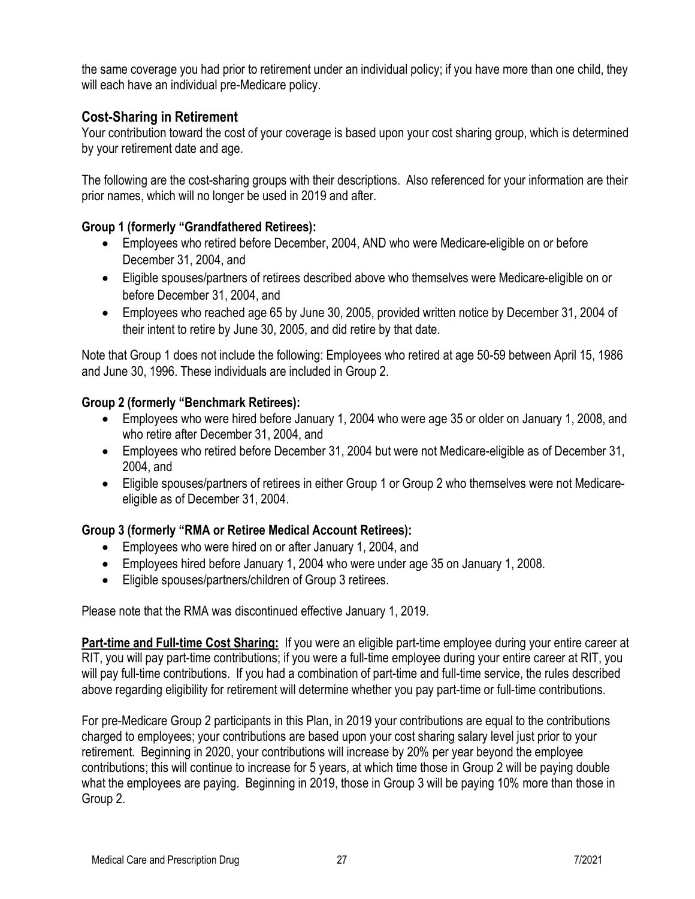the same coverage you had prior to retirement under an individual policy; if you have more than one child, they will each have an individual pre-Medicare policy.

# <span id="page-26-0"></span>**Cost-Sharing in Retirement**

Your contribution toward the cost of your coverage is based upon your cost sharing group, which is determined by your retirement date and age.

The following are the cost-sharing groups with their descriptions. Also referenced for your information are their prior names, which will no longer be used in 2019 and after.

# **Group 1 (formerly "Grandfathered Retirees):**

- Employees who retired before December, 2004, AND who were Medicare-eligible on or before December 31, 2004, and
- Eligible spouses/partners of retirees described above who themselves were Medicare-eligible on or before December 31, 2004, and
- Employees who reached age 65 by June 30, 2005, provided written notice by December 31, 2004 of their intent to retire by June 30, 2005, and did retire by that date.

Note that Group 1 does not include the following: Employees who retired at age 50-59 between April 15, 1986 and June 30, 1996. These individuals are included in Group 2.

### **Group 2 (formerly "Benchmark Retirees):**

- Employees who were hired before January 1, 2004 who were age 35 or older on January 1, 2008, and who retire after December 31, 2004, and
- Employees who retired before December 31, 2004 but were not Medicare-eligible as of December 31, 2004, and
- Eligible spouses/partners of retirees in either Group 1 or Group 2 who themselves were not Medicareeligible as of December 31, 2004.

# **Group 3 (formerly "RMA or Retiree Medical Account Retirees):**

- Employees who were hired on or after January 1, 2004, and
- Employees hired before January 1, 2004 who were under age 35 on January 1, 2008.
- Eligible spouses/partners/children of Group 3 retirees.

Please note that the RMA was discontinued effective January 1, 2019.

**Part-time and Full-time Cost Sharing:** If you were an eligible part-time employee during your entire career at RIT, you will pay part-time contributions; if you were a full-time employee during your entire career at RIT, you will pay full-time contributions. If you had a combination of part-time and full-time service, the rules described above regarding eligibility for retirement will determine whether you pay part-time or full-time contributions.

For pre-Medicare Group 2 participants in this Plan, in 2019 your contributions are equal to the contributions charged to employees; your contributions are based upon your cost sharing salary level just prior to your retirement. Beginning in 2020, your contributions will increase by 20% per year beyond the employee contributions; this will continue to increase for 5 years, at which time those in Group 2 will be paying double what the employees are paying. Beginning in 2019, those in Group 3 will be paying 10% more than those in Group 2.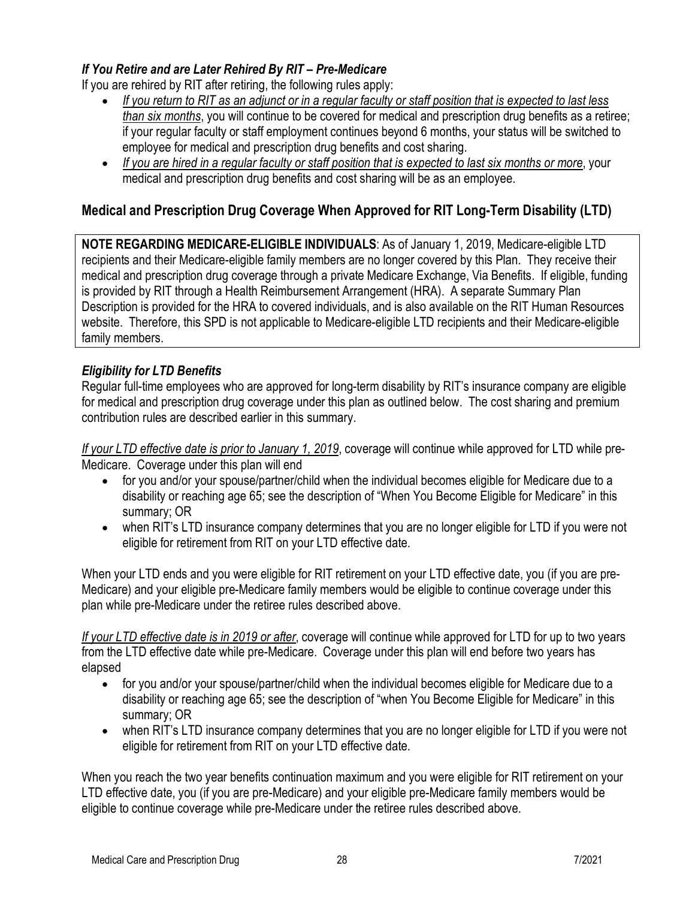# <span id="page-27-0"></span>*If You Retire and are Later Rehired By RIT – Pre-Medicare*

If you are rehired by RIT after retiring, the following rules apply:

- *If you return to RIT as an adjunct or in a regular faculty or staff position that is expected to last less than six months*, you will continue to be covered for medical and prescription drug benefits as a retiree; if your regular faculty or staff employment continues beyond 6 months, your status will be switched to employee for medical and prescription drug benefits and cost sharing.
- *If you are hired in a regular faculty or staff position that is expected to last six months or more*, your medical and prescription drug benefits and cost sharing will be as an employee.

# <span id="page-27-1"></span>**Medical and Prescription Drug Coverage When Approved for RIT Long-Term Disability (LTD)**

**NOTE REGARDING MEDICARE-ELIGIBLE INDIVIDUALS**: As of January 1, 2019, Medicare-eligible LTD recipients and their Medicare-eligible family members are no longer covered by this Plan. They receive their medical and prescription drug coverage through a private Medicare Exchange, Via Benefits. If eligible, funding is provided by RIT through a Health Reimbursement Arrangement (HRA). A separate Summary Plan Description is provided for the HRA to covered individuals, and is also available on the RIT Human Resources website. Therefore, this SPD is not applicable to Medicare-eligible LTD recipients and their Medicare-eligible family members.

# <span id="page-27-2"></span>*Eligibility for LTD Benefits*

Regular full-time employees who are approved for long-term disability by RIT's insurance company are eligible for medical and prescription drug coverage under this plan as outlined below. The cost sharing and premium contribution rules are described earlier in this summary.

*If your LTD effective date is prior to January 1, 2019*, coverage will continue while approved for LTD while pre-Medicare. Coverage under this plan will end

- for you and/or your spouse/partner/child when the individual becomes eligible for Medicare due to a disability or reaching age 65; see the description of "When You Become Eligible for Medicare" in this summary; OR
- when RIT's LTD insurance company determines that you are no longer eligible for LTD if you were not eligible for retirement from RIT on your LTD effective date.

When your LTD ends and you were eligible for RIT retirement on your LTD effective date, you (if you are pre-Medicare) and your eligible pre-Medicare family members would be eligible to continue coverage under this plan while pre-Medicare under the retiree rules described above.

*If your LTD effective date is in 2019 or after*, coverage will continue while approved for LTD for up to two years from the LTD effective date while pre-Medicare. Coverage under this plan will end before two years has elapsed

- for you and/or your spouse/partner/child when the individual becomes eligible for Medicare due to a disability or reaching age 65; see the description of "when You Become Eligible for Medicare" in this summary; OR
- when RIT's LTD insurance company determines that you are no longer eligible for LTD if you were not eligible for retirement from RIT on your LTD effective date.

When you reach the two year benefits continuation maximum and you were eligible for RIT retirement on your LTD effective date, you (if you are pre-Medicare) and your eligible pre-Medicare family members would be eligible to continue coverage while pre-Medicare under the retiree rules described above.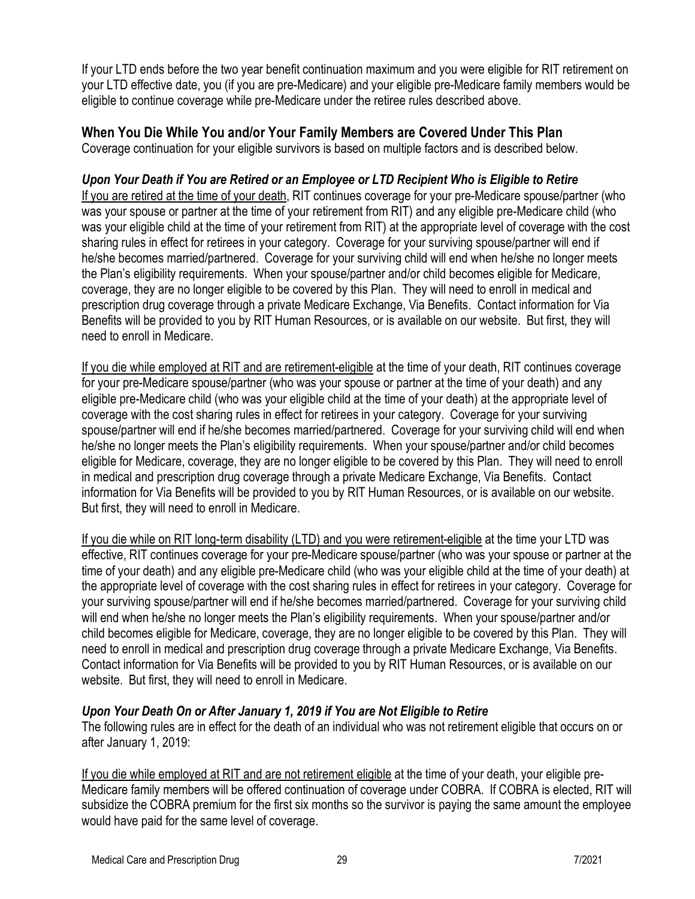If your LTD ends before the two year benefit continuation maximum and you were eligible for RIT retirement on your LTD effective date, you (if you are pre-Medicare) and your eligible pre-Medicare family members would be eligible to continue coverage while pre-Medicare under the retiree rules described above.

# <span id="page-28-0"></span>**When You Die While You and/or Your Family Members are Covered Under This Plan**

Coverage continuation for your eligible survivors is based on multiple factors and is described below.

#### <span id="page-28-1"></span>*Upon Your Death if You are Retired or an Employee or LTD Recipient Who is Eligible to Retire*

If you are retired at the time of your death, RIT continues coverage for your pre-Medicare spouse/partner (who was your spouse or partner at the time of your retirement from RIT) and any eligible pre-Medicare child (who was your eligible child at the time of your retirement from RIT) at the appropriate level of coverage with the cost sharing rules in effect for retirees in your category. Coverage for your surviving spouse/partner will end if he/she becomes married/partnered. Coverage for your surviving child will end when he/she no longer meets the Plan's eligibility requirements. When your spouse/partner and/or child becomes eligible for Medicare, coverage, they are no longer eligible to be covered by this Plan. They will need to enroll in medical and prescription drug coverage through a private Medicare Exchange, Via Benefits. Contact information for Via Benefits will be provided to you by RIT Human Resources, or is available on our website. But first, they will need to enroll in Medicare.

If you die while employed at RIT and are retirement-eligible at the time of your death, RIT continues coverage for your pre-Medicare spouse/partner (who was your spouse or partner at the time of your death) and any eligible pre-Medicare child (who was your eligible child at the time of your death) at the appropriate level of coverage with the cost sharing rules in effect for retirees in your category. Coverage for your surviving spouse/partner will end if he/she becomes married/partnered. Coverage for your surviving child will end when he/she no longer meets the Plan's eligibility requirements. When your spouse/partner and/or child becomes eligible for Medicare, coverage, they are no longer eligible to be covered by this Plan. They will need to enroll in medical and prescription drug coverage through a private Medicare Exchange, Via Benefits. Contact information for Via Benefits will be provided to you by RIT Human Resources, or is available on our website. But first, they will need to enroll in Medicare.

If you die while on RIT long-term disability (LTD) and you were retirement-eligible at the time your LTD was effective, RIT continues coverage for your pre-Medicare spouse/partner (who was your spouse or partner at the time of your death) and any eligible pre-Medicare child (who was your eligible child at the time of your death) at the appropriate level of coverage with the cost sharing rules in effect for retirees in your category. Coverage for your surviving spouse/partner will end if he/she becomes married/partnered. Coverage for your surviving child will end when he/she no longer meets the Plan's eligibility requirements. When your spouse/partner and/or child becomes eligible for Medicare, coverage, they are no longer eligible to be covered by this Plan. They will need to enroll in medical and prescription drug coverage through a private Medicare Exchange, Via Benefits. Contact information for Via Benefits will be provided to you by RIT Human Resources, or is available on our website. But first, they will need to enroll in Medicare.

#### <span id="page-28-2"></span>*Upon Your Death On or After January 1, 2019 if You are Not Eligible to Retire*

The following rules are in effect for the death of an individual who was not retirement eligible that occurs on or after January 1, 2019:

If you die while employed at RIT and are not retirement eligible at the time of your death, your eligible pre-Medicare family members will be offered continuation of coverage under COBRA. If COBRA is elected, RIT will subsidize the COBRA premium for the first six months so the survivor is paying the same amount the employee would have paid for the same level of coverage.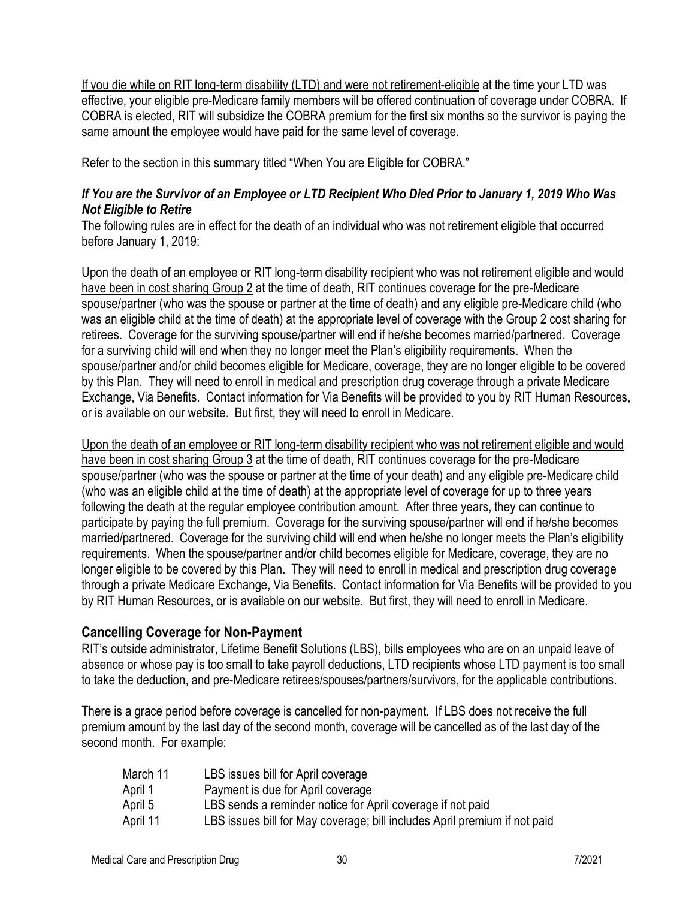If you die while on RIT long-term disability (LTD) and were not retirement-eligible at the time your LTD was effective, your eligible pre-Medicare family members will be offered continuation of coverage under COBRA. If COBRA is elected, RIT will subsidize the COBRA premium for the first six months so the survivor is paying the same amount the employee would have paid for the same level of coverage.

Refer to the section in this summary titled "When You are Eligible for COBRA."

#### <span id="page-29-0"></span>*If You are the Survivor of an Employee or LTD Recipient Who Died Prior to January 1, 2019 Who Was Not Eligible to Retire*

The following rules are in effect for the death of an individual who was not retirement eligible that occurred before January 1, 2019:

Upon the death of an employee or RIT long-term disability recipient who was not retirement eligible and would have been in cost sharing Group 2 at the time of death, RIT continues coverage for the pre-Medicare spouse/partner (who was the spouse or partner at the time of death) and any eligible pre-Medicare child (who was an eligible child at the time of death) at the appropriate level of coverage with the Group 2 cost sharing for retirees. Coverage for the surviving spouse/partner will end if he/she becomes married/partnered. Coverage for a surviving child will end when they no longer meet the Plan's eligibility requirements. When the spouse/partner and/or child becomes eligible for Medicare, coverage, they are no longer eligible to be covered by this Plan. They will need to enroll in medical and prescription drug coverage through a private Medicare Exchange, Via Benefits. Contact information for Via Benefits will be provided to you by RIT Human Resources, or is available on our website. But first, they will need to enroll in Medicare.

Upon the death of an employee or RIT long-term disability recipient who was not retirement eligible and would have been in cost sharing Group 3 at the time of death, RIT continues coverage for the pre-Medicare spouse/partner (who was the spouse or partner at the time of your death) and any eligible pre-Medicare child (who was an eligible child at the time of death) at the appropriate level of coverage for up to three years following the death at the regular employee contribution amount. After three years, they can continue to participate by paying the full premium. Coverage for the surviving spouse/partner will end if he/she becomes married/partnered. Coverage for the surviving child will end when he/she no longer meets the Plan's eligibility requirements. When the spouse/partner and/or child becomes eligible for Medicare, coverage, they are no longer eligible to be covered by this Plan. They will need to enroll in medical and prescription drug coverage through a private Medicare Exchange, Via Benefits. Contact information for Via Benefits will be provided to you by RIT Human Resources, or is available on our website. But first, they will need to enroll in Medicare.

#### <span id="page-29-1"></span>**Cancelling Coverage for Non-Payment**

RIT's outside administrator, Lifetime Benefit Solutions (LBS), bills employees who are on an unpaid leave of absence or whose pay is too small to take payroll deductions, LTD recipients whose LTD payment is too small to take the deduction, and pre-Medicare retirees/spouses/partners/survivors, for the applicable contributions.

There is a grace period before coverage is cancelled for non-payment. If LBS does not receive the full premium amount by the last day of the second month, coverage will be cancelled as of the last day of the second month. For example:

| LBS issues bill for April coverage                                        |
|---------------------------------------------------------------------------|
| Payment is due for April coverage                                         |
| LBS sends a reminder notice for April coverage if not paid                |
| LBS issues bill for May coverage; bill includes April premium if not paid |
|                                                                           |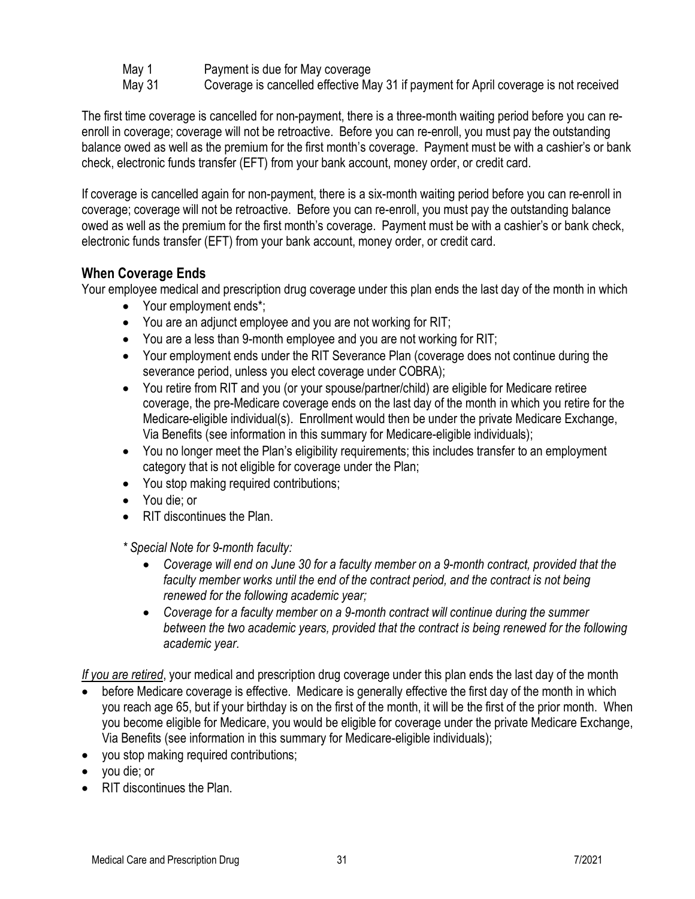May 1 **Payment is due for May coverage** 

May 31 Coverage is cancelled effective May 31 if payment for April coverage is not received

The first time coverage is cancelled for non-payment, there is a three-month waiting period before you can reenroll in coverage; coverage will not be retroactive. Before you can re-enroll, you must pay the outstanding balance owed as well as the premium for the first month's coverage. Payment must be with a cashier's or bank check, electronic funds transfer (EFT) from your bank account, money order, or credit card.

If coverage is cancelled again for non-payment, there is a six-month waiting period before you can re-enroll in coverage; coverage will not be retroactive. Before you can re-enroll, you must pay the outstanding balance owed as well as the premium for the first month's coverage. Payment must be with a cashier's or bank check, electronic funds transfer (EFT) from your bank account, money order, or credit card.

# <span id="page-30-0"></span>**When Coverage Ends**

Your employee medical and prescription drug coverage under this plan ends the last day of the month in which

- Your employment ends\*;
- You are an adjunct employee and you are not working for RIT;
- You are a less than 9-month employee and you are not working for RIT;
- Your employment ends under the RIT Severance Plan (coverage does not continue during the severance period, unless you elect coverage under COBRA);
- You retire from RIT and you (or your spouse/partner/child) are eligible for Medicare retiree coverage, the pre-Medicare coverage ends on the last day of the month in which you retire for the Medicare-eligible individual(s). Enrollment would then be under the private Medicare Exchange, Via Benefits (see information in this summary for Medicare-eligible individuals);
- You no longer meet the Plan's eligibility requirements; this includes transfer to an employment category that is not eligible for coverage under the Plan;
- You stop making required contributions;
- You die; or
- RIT discontinues the Plan.

*\* Special Note for 9-month faculty:*

- *Coverage will end on June 30 for a faculty member on a 9-month contract, provided that the faculty member works until the end of the contract period, and the contract is not being renewed for the following academic year;*
- *Coverage for a faculty member on a 9-month contract will continue during the summer between the two academic years, provided that the contract is being renewed for the following academic year.*

*If you are retired*, your medical and prescription drug coverage under this plan ends the last day of the month

- before Medicare coverage is effective. Medicare is generally effective the first day of the month in which you reach age 65, but if your birthday is on the first of the month, it will be the first of the prior month. When you become eligible for Medicare, you would be eligible for coverage under the private Medicare Exchange, Via Benefits (see information in this summary for Medicare-eligible individuals);
- you stop making required contributions;
- you die; or
- RIT discontinues the Plan.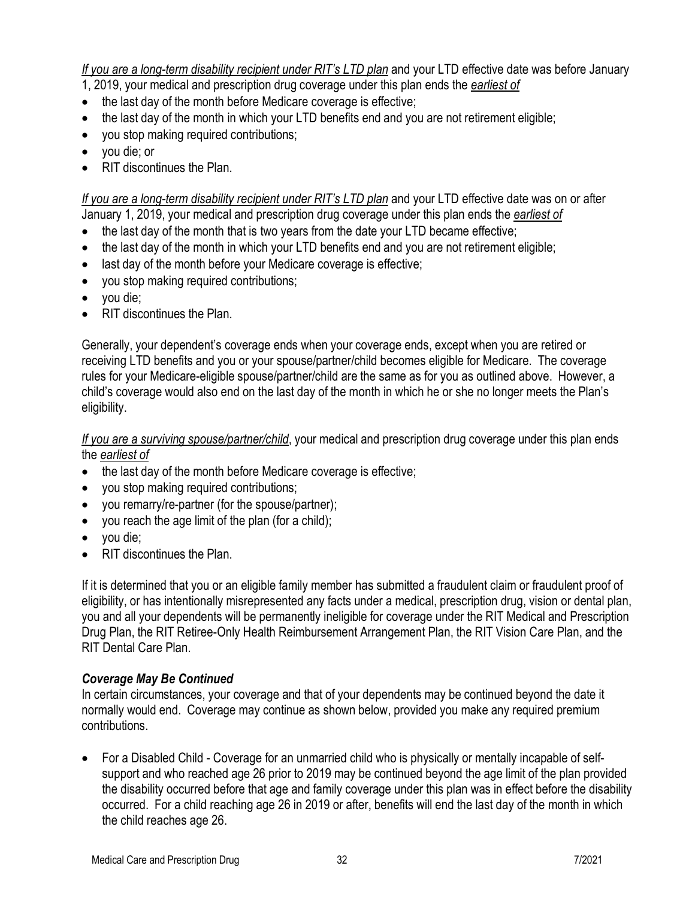*If you are a long-term disability recipient under RIT's LTD plan* and your LTD effective date was before January

1, 2019, your medical and prescription drug coverage under this plan ends the *earliest of*

- the last day of the month before Medicare coverage is effective;
- the last day of the month in which your LTD benefits end and you are not retirement eligible;
- you stop making required contributions;
- you die; or
- RIT discontinues the Plan.

*If you are a long-term disability recipient under RIT's LTD plan* and your LTD effective date was on or after January 1, 2019, your medical and prescription drug coverage under this plan ends the *earliest of*

- the last day of the month that is two years from the date your LTD became effective;
- the last day of the month in which your LTD benefits end and you are not retirement eligible;
- last day of the month before your Medicare coverage is effective;
- you stop making required contributions;
- you die;
- RIT discontinues the Plan.

Generally, your dependent's coverage ends when your coverage ends, except when you are retired or receiving LTD benefits and you or your spouse/partner/child becomes eligible for Medicare. The coverage rules for your Medicare-eligible spouse/partner/child are the same as for you as outlined above. However, a child's coverage would also end on the last day of the month in which he or she no longer meets the Plan's eligibility.

*If you are a surviving spouse/partner/child*, your medical and prescription drug coverage under this plan ends the *earliest of*

- the last day of the month before Medicare coverage is effective;
- you stop making required contributions;
- you remarry/re-partner (for the spouse/partner);
- you reach the age limit of the plan (for a child);
- you die;
- RIT discontinues the Plan

If it is determined that you or an eligible family member has submitted a fraudulent claim or fraudulent proof of eligibility, or has intentionally misrepresented any facts under a medical, prescription drug, vision or dental plan, you and all your dependents will be permanently ineligible for coverage under the RIT Medical and Prescription Drug Plan, the RIT Retiree-Only Health Reimbursement Arrangement Plan, the RIT Vision Care Plan, and the RIT Dental Care Plan.

#### <span id="page-31-0"></span>*Coverage May Be Continued*

In certain circumstances, your coverage and that of your dependents may be continued beyond the date it normally would end. Coverage may continue as shown below, provided you make any required premium contributions.

• For a Disabled Child - Coverage for an unmarried child who is physically or mentally incapable of selfsupport and who reached age 26 prior to 2019 may be continued beyond the age limit of the plan provided the disability occurred before that age and family coverage under this plan was in effect before the disability occurred. For a child reaching age 26 in 2019 or after, benefits will end the last day of the month in which the child reaches age 26.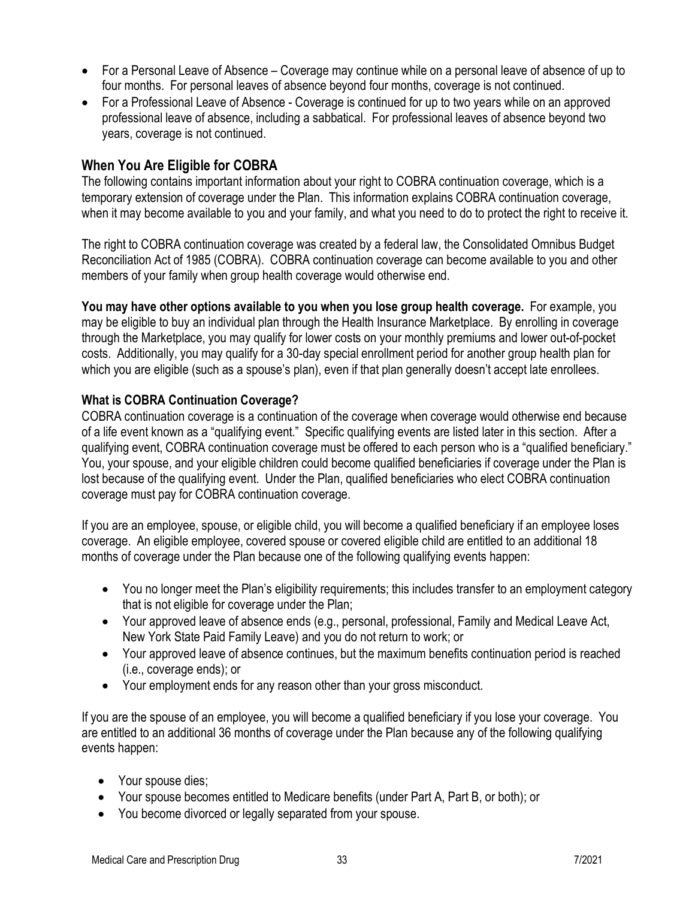- For a Personal Leave of Absence Coverage may continue while on a personal leave of absence of up to four months. For personal leaves of absence beyond four months, coverage is not continued.
- For a Professional Leave of Absence Coverage is continued for up to two years while on an approved professional leave of absence, including a sabbatical. For professional leaves of absence beyond two years, coverage is not continued.

# <span id="page-32-0"></span>**When You Are Eligible for COBRA**

The following contains important information about your right to COBRA continuation coverage, which is a temporary extension of coverage under the Plan. This information explains COBRA continuation coverage, when it may become available to you and your family, and what you need to do to protect the right to receive it.

The right to COBRA continuation coverage was created by a federal law, the Consolidated Omnibus Budget Reconciliation Act of 1985 (COBRA). COBRA continuation coverage can become available to you and other members of your family when group health coverage would otherwise end.

**You may have other options available to you when you lose group health coverage.** For example, you may be eligible to buy an individual plan through the Health Insurance Marketplace. By enrolling in coverage through the Marketplace, you may qualify for lower costs on your monthly premiums and lower out-of-pocket costs. Additionally, you may qualify for a 30-day special enrollment period for another group health plan for which you are eligible (such as a spouse's plan), even if that plan generally doesn't accept late enrollees.

#### **What is COBRA Continuation Coverage?**

COBRA continuation coverage is a continuation of the coverage when coverage would otherwise end because of a life event known as a "qualifying event." Specific qualifying events are listed later in this section. After a qualifying event, COBRA continuation coverage must be offered to each person who is a "qualified beneficiary." You, your spouse, and your eligible children could become qualified beneficiaries if coverage under the Plan is lost because of the qualifying event. Under the Plan, qualified beneficiaries who elect COBRA continuation coverage must pay for COBRA continuation coverage.

If you are an employee, spouse, or eligible child, you will become a qualified beneficiary if an employee loses coverage. An eligible employee, covered spouse or covered eligible child are entitled to an additional 18 months of coverage under the Plan because one of the following qualifying events happen:

- You no longer meet the Plan's eligibility requirements; this includes transfer to an employment category that is not eligible for coverage under the Plan;
- Your approved leave of absence ends (e.g., personal, professional, Family and Medical Leave Act, New York State Paid Family Leave) and you do not return to work; or
- Your approved leave of absence continues, but the maximum benefits continuation period is reached (i.e., coverage ends); or
- Your employment ends for any reason other than your gross misconduct.

If you are the spouse of an employee, you will become a qualified beneficiary if you lose your coverage. You are entitled to an additional 36 months of coverage under the Plan because any of the following qualifying events happen:

- Your spouse dies;
- Your spouse becomes entitled to Medicare benefits (under Part A, Part B, or both); or
- You become divorced or legally separated from your spouse.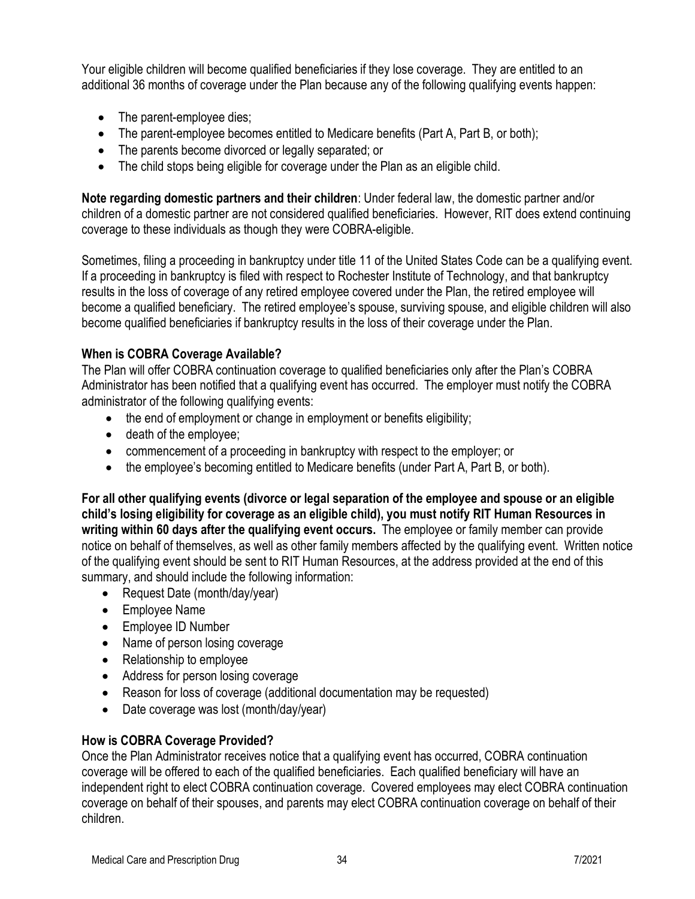Your eligible children will become qualified beneficiaries if they lose coverage. They are entitled to an additional 36 months of coverage under the Plan because any of the following qualifying events happen:

- The parent-employee dies;
- The parent-employee becomes entitled to Medicare benefits (Part A, Part B, or both);
- The parents become divorced or legally separated; or
- The child stops being eligible for coverage under the Plan as an eligible child.

**Note regarding domestic partners and their children**: Under federal law, the domestic partner and/or children of a domestic partner are not considered qualified beneficiaries. However, RIT does extend continuing coverage to these individuals as though they were COBRA-eligible.

Sometimes, filing a proceeding in bankruptcy under title 11 of the United States Code can be a qualifying event. If a proceeding in bankruptcy is filed with respect to Rochester Institute of Technology, and that bankruptcy results in the loss of coverage of any retired employee covered under the Plan, the retired employee will become a qualified beneficiary. The retired employee's spouse, surviving spouse, and eligible children will also become qualified beneficiaries if bankruptcy results in the loss of their coverage under the Plan.

### **When is COBRA Coverage Available?**

The Plan will offer COBRA continuation coverage to qualified beneficiaries only after the Plan's COBRA Administrator has been notified that a qualifying event has occurred. The employer must notify the COBRA administrator of the following qualifying events:

- the end of employment or change in employment or benefits eligibility;
- death of the employee;
- commencement of a proceeding in bankruptcy with respect to the employer; or
- the employee's becoming entitled to Medicare benefits (under Part A, Part B, or both).

**For all other qualifying events (divorce or legal separation of the employee and spouse or an eligible child's losing eligibility for coverage as an eligible child), you must notify RIT Human Resources in writing within 60 days after the qualifying event occurs.** The employee or family member can provide notice on behalf of themselves, as well as other family members affected by the qualifying event. Written notice of the qualifying event should be sent to RIT Human Resources, at the address provided at the end of this summary, and should include the following information:

- Request Date (month/day/year)
- Employee Name
- Employee ID Number
- Name of person losing coverage
- Relationship to employee
- Address for person losing coverage
- Reason for loss of coverage (additional documentation may be requested)
- Date coverage was lost (month/day/year)

# **How is COBRA Coverage Provided?**

Once the Plan Administrator receives notice that a qualifying event has occurred, COBRA continuation coverage will be offered to each of the qualified beneficiaries. Each qualified beneficiary will have an independent right to elect COBRA continuation coverage. Covered employees may elect COBRA continuation coverage on behalf of their spouses, and parents may elect COBRA continuation coverage on behalf of their children.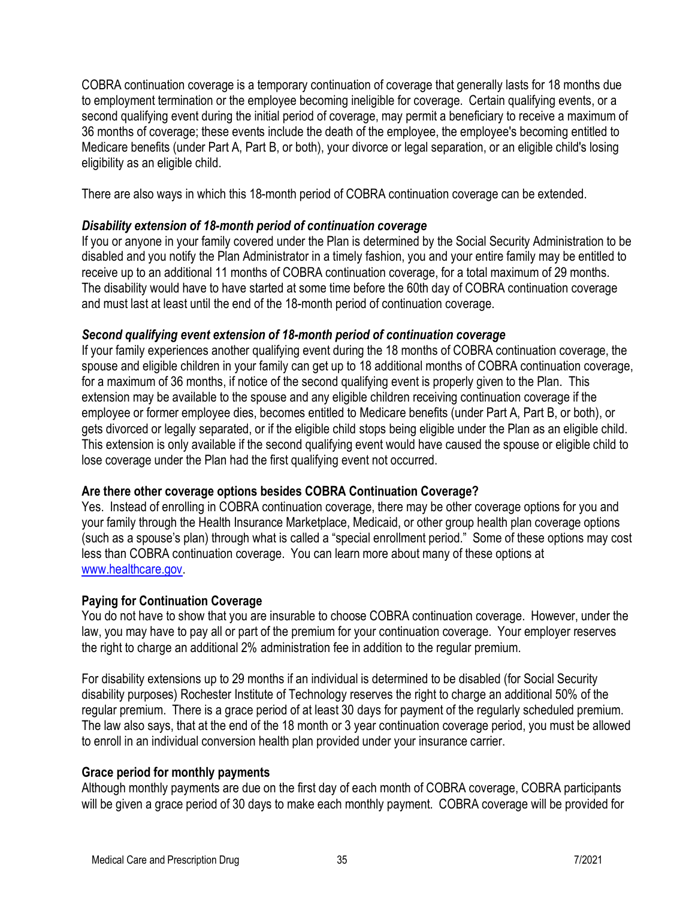COBRA continuation coverage is a temporary continuation of coverage that generally lasts for 18 months due to employment termination or the employee becoming ineligible for coverage. Certain qualifying events, or a second qualifying event during the initial period of coverage, may permit a beneficiary to receive a maximum of 36 months of coverage; these events include the death of the employee, the employee's becoming entitled to Medicare benefits (under Part A, Part B, or both), your divorce or legal separation, or an eligible child's losing eligibility as an eligible child.

There are also ways in which this 18-month period of COBRA continuation coverage can be extended.

#### *Disability extension of 18-month period of continuation coverage*

If you or anyone in your family covered under the Plan is determined by the Social Security Administration to be disabled and you notify the Plan Administrator in a timely fashion, you and your entire family may be entitled to receive up to an additional 11 months of COBRA continuation coverage, for a total maximum of 29 months. The disability would have to have started at some time before the 60th day of COBRA continuation coverage and must last at least until the end of the 18-month period of continuation coverage.

#### *Second qualifying event extension of 18-month period of continuation coverage*

If your family experiences another qualifying event during the 18 months of COBRA continuation coverage, the spouse and eligible children in your family can get up to 18 additional months of COBRA continuation coverage, for a maximum of 36 months, if notice of the second qualifying event is properly given to the Plan. This extension may be available to the spouse and any eligible children receiving continuation coverage if the employee or former employee dies, becomes entitled to Medicare benefits (under Part A, Part B, or both), or gets divorced or legally separated, or if the eligible child stops being eligible under the Plan as an eligible child. This extension is only available if the second qualifying event would have caused the spouse or eligible child to lose coverage under the Plan had the first qualifying event not occurred.

#### **Are there other coverage options besides COBRA Continuation Coverage?**

Yes. Instead of enrolling in COBRA continuation coverage, there may be other coverage options for you and your family through the Health Insurance Marketplace, Medicaid, or other group health plan coverage options (such as a spouse's plan) through what is called a "special enrollment period." Some of these options may cost less than COBRA continuation coverage. You can learn more about many of these options at [www.healthcare.gov.](http://www.healthcare.gov/)

#### **Paying for Continuation Coverage**

You do not have to show that you are insurable to choose COBRA continuation coverage. However, under the law, you may have to pay all or part of the premium for your continuation coverage. Your employer reserves the right to charge an additional 2% administration fee in addition to the regular premium.

For disability extensions up to 29 months if an individual is determined to be disabled (for Social Security disability purposes) Rochester Institute of Technology reserves the right to charge an additional 50% of the regular premium. There is a grace period of at least 30 days for payment of the regularly scheduled premium. The law also says, that at the end of the 18 month or 3 year continuation coverage period, you must be allowed to enroll in an individual conversion health plan provided under your insurance carrier.

#### **Grace period for monthly payments**

Although monthly payments are due on the first day of each month of COBRA coverage, COBRA participants will be given a grace period of 30 days to make each monthly payment. COBRA coverage will be provided for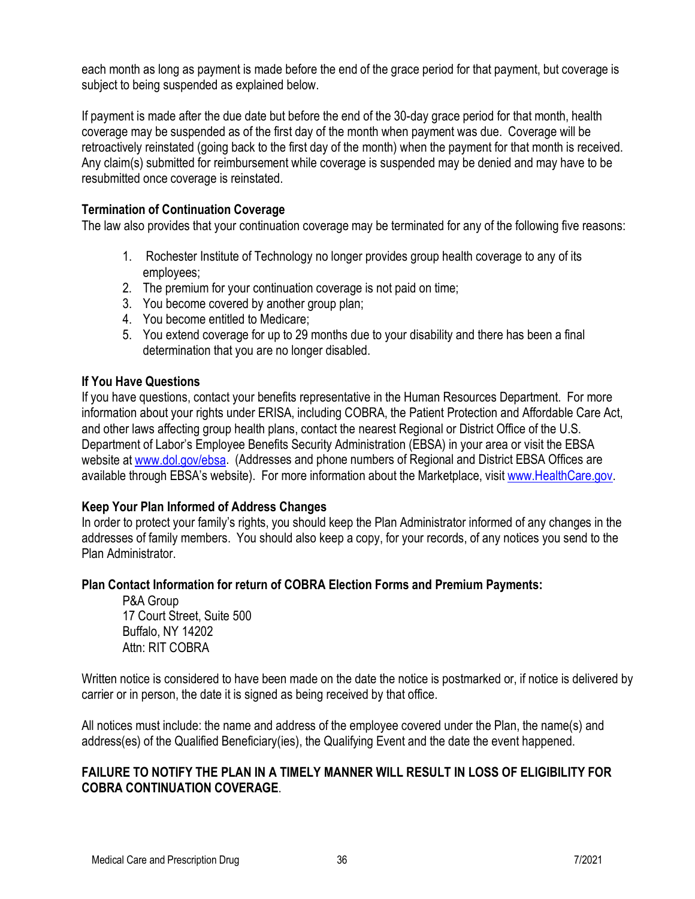each month as long as payment is made before the end of the grace period for that payment, but coverage is subject to being suspended as explained below.

If payment is made after the due date but before the end of the 30-day grace period for that month, health coverage may be suspended as of the first day of the month when payment was due. Coverage will be retroactively reinstated (going back to the first day of the month) when the payment for that month is received. Any claim(s) submitted for reimbursement while coverage is suspended may be denied and may have to be resubmitted once coverage is reinstated.

#### **Termination of Continuation Coverage**

The law also provides that your continuation coverage may be terminated for any of the following five reasons:

- 1. Rochester Institute of Technology no longer provides group health coverage to any of its employees;
- 2. The premium for your continuation coverage is not paid on time;
- 3. You become covered by another group plan;
- 4. You become entitled to Medicare;
- 5. You extend coverage for up to 29 months due to your disability and there has been a final determination that you are no longer disabled.

#### **If You Have Questions**

If you have questions, contact your benefits representative in the Human Resources Department. For more information about your rights under ERISA, including COBRA, the Patient Protection and Affordable Care Act, and other laws affecting group health plans, contact the nearest Regional or District Office of the U.S. Department of Labor's Employee Benefits Security Administration (EBSA) in your area or visit the EBSA website at [www.dol.gov/ebsa.](http://www.dol.gov/ebsa) (Addresses and phone numbers of Regional and District EBSA Offices are available through EBSA's website). For more information about the Marketplace, visit [www.HealthCare.gov.](http://www.healthcare.gov/)

#### **Keep Your Plan Informed of Address Changes**

In order to protect your family's rights, you should keep the Plan Administrator informed of any changes in the addresses of family members.You should also keep a copy, for your records, of any notices you send to the Plan Administrator.

#### **Plan Contact Information for return of COBRA Election Forms and Premium Payments:**

P&A Group 17 Court Street, Suite 500 Buffalo, NY 14202 Attn: RIT COBRA

Written notice is considered to have been made on the date the notice is postmarked or, if notice is delivered by carrier or in person, the date it is signed as being received by that office.

All notices must include: the name and address of the employee covered under the Plan, the name(s) and address(es) of the Qualified Beneficiary(ies), the Qualifying Event and the date the event happened.

#### **FAILURE TO NOTIFY THE PLAN IN A TIMELY MANNER WILL RESULT IN LOSS OF ELIGIBILITY FOR COBRA CONTINUATION COVERAGE**.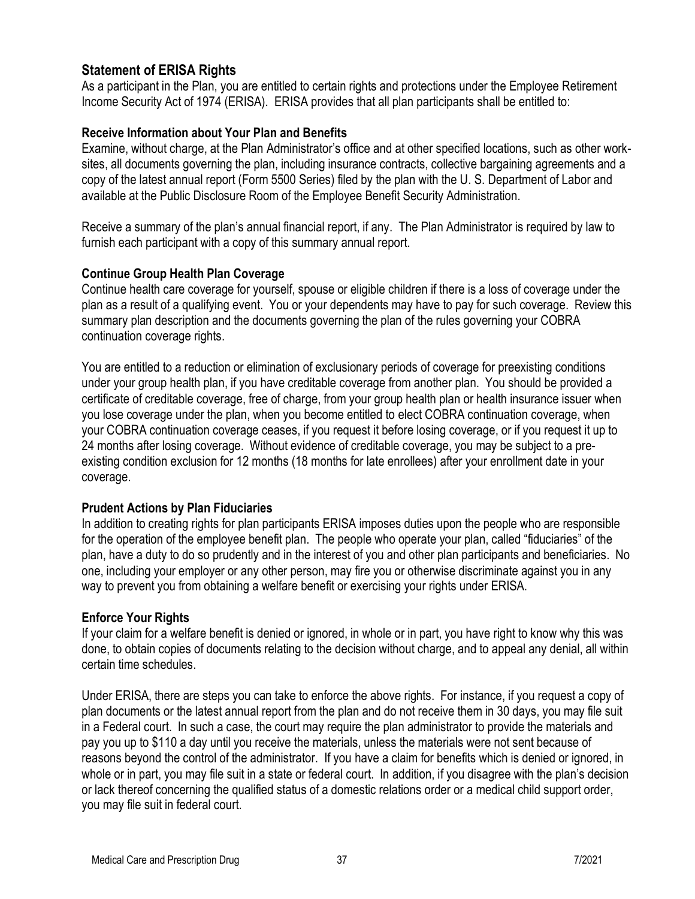# <span id="page-36-0"></span>**Statement of ERISA Rights**

As a participant in the Plan, you are entitled to certain rights and protections under the Employee Retirement Income Security Act of 1974 (ERISA). ERISA provides that all plan participants shall be entitled to:

#### **Receive Information about Your Plan and Benefits**

Examine, without charge, at the Plan Administrator's office and at other specified locations, such as other worksites, all documents governing the plan, including insurance contracts, collective bargaining agreements and a copy of the latest annual report (Form 5500 Series) filed by the plan with the U. S. Department of Labor and available at the Public Disclosure Room of the Employee Benefit Security Administration.

Receive a summary of the plan's annual financial report, if any. The Plan Administrator is required by law to furnish each participant with a copy of this summary annual report.

#### **Continue Group Health Plan Coverage**

Continue health care coverage for yourself, spouse or eligible children if there is a loss of coverage under the plan as a result of a qualifying event. You or your dependents may have to pay for such coverage. Review this summary plan description and the documents governing the plan of the rules governing your COBRA continuation coverage rights.

You are entitled to a reduction or elimination of exclusionary periods of coverage for preexisting conditions under your group health plan, if you have creditable coverage from another plan. You should be provided a certificate of creditable coverage, free of charge, from your group health plan or health insurance issuer when you lose coverage under the plan, when you become entitled to elect COBRA continuation coverage, when your COBRA continuation coverage ceases, if you request it before losing coverage, or if you request it up to 24 months after losing coverage. Without evidence of creditable coverage, you may be subject to a preexisting condition exclusion for 12 months (18 months for late enrollees) after your enrollment date in your coverage.

#### **Prudent Actions by Plan Fiduciaries**

In addition to creating rights for plan participants ERISA imposes duties upon the people who are responsible for the operation of the employee benefit plan. The people who operate your plan, called "fiduciaries" of the plan, have a duty to do so prudently and in the interest of you and other plan participants and beneficiaries. No one, including your employer or any other person, may fire you or otherwise discriminate against you in any way to prevent you from obtaining a welfare benefit or exercising your rights under ERISA.

#### **Enforce Your Rights**

If your claim for a welfare benefit is denied or ignored, in whole or in part, you have right to know why this was done, to obtain copies of documents relating to the decision without charge, and to appeal any denial, all within certain time schedules.

Under ERISA, there are steps you can take to enforce the above rights. For instance, if you request a copy of plan documents or the latest annual report from the plan and do not receive them in 30 days, you may file suit in a Federal court. In such a case, the court may require the plan administrator to provide the materials and pay you up to \$110 a day until you receive the materials, unless the materials were not sent because of reasons beyond the control of the administrator. If you have a claim for benefits which is denied or ignored, in whole or in part, you may file suit in a state or federal court. In addition, if you disagree with the plan's decision or lack thereof concerning the qualified status of a domestic relations order or a medical child support order, you may file suit in federal court.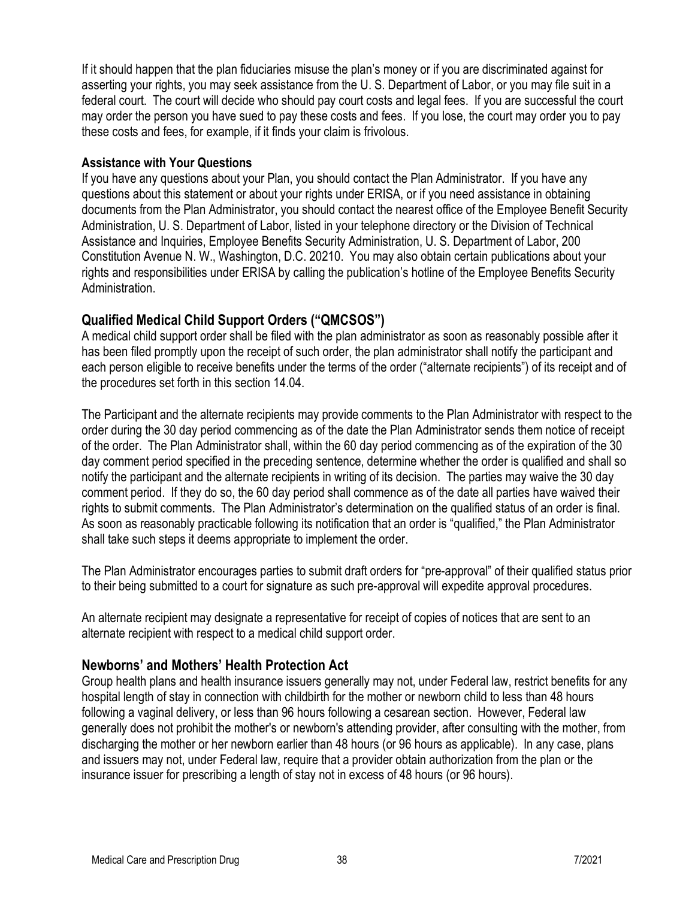If it should happen that the plan fiduciaries misuse the plan's money or if you are discriminated against for asserting your rights, you may seek assistance from the U. S. Department of Labor, or you may file suit in a federal court. The court will decide who should pay court costs and legal fees. If you are successful the court may order the person you have sued to pay these costs and fees. If you lose, the court may order you to pay these costs and fees, for example, if it finds your claim is frivolous.

#### **Assistance with Your Questions**

If you have any questions about your Plan, you should contact the Plan Administrator. If you have any questions about this statement or about your rights under ERISA, or if you need assistance in obtaining documents from the Plan Administrator, you should contact the nearest office of the Employee Benefit Security Administration, U. S. Department of Labor, listed in your telephone directory or the Division of Technical Assistance and Inquiries, Employee Benefits Security Administration, U. S. Department of Labor, 200 Constitution Avenue N. W., Washington, D.C. 20210. You may also obtain certain publications about your rights and responsibilities under ERISA by calling the publication's hotline of the Employee Benefits Security Administration.

# <span id="page-37-0"></span>**Qualified Medical Child Support Orders ("QMCSOS")**

A medical child support order shall be filed with the plan administrator as soon as reasonably possible after it has been filed promptly upon the receipt of such order, the plan administrator shall notify the participant and each person eligible to receive benefits under the terms of the order ("alternate recipients") of its receipt and of the procedures set forth in this section 14.04.

The Participant and the alternate recipients may provide comments to the Plan Administrator with respect to the order during the 30 day period commencing as of the date the Plan Administrator sends them notice of receipt of the order. The Plan Administrator shall, within the 60 day period commencing as of the expiration of the 30 day comment period specified in the preceding sentence, determine whether the order is qualified and shall so notify the participant and the alternate recipients in writing of its decision. The parties may waive the 30 day comment period. If they do so, the 60 day period shall commence as of the date all parties have waived their rights to submit comments. The Plan Administrator's determination on the qualified status of an order is final. As soon as reasonably practicable following its notification that an order is "qualified," the Plan Administrator shall take such steps it deems appropriate to implement the order.

The Plan Administrator encourages parties to submit draft orders for "pre-approval" of their qualified status prior to their being submitted to a court for signature as such pre-approval will expedite approval procedures.

An alternate recipient may designate a representative for receipt of copies of notices that are sent to an alternate recipient with respect to a medical child support order.

# <span id="page-37-1"></span>**Newborns' and Mothers' Health Protection Act**

Group health plans and health insurance issuers generally may not, under Federal law, restrict benefits for any hospital length of stay in connection with childbirth for the mother or newborn child to less than 48 hours following a vaginal delivery, or less than 96 hours following a cesarean section. However, Federal law generally does not prohibit the mother's or newborn's attending provider, after consulting with the mother, from discharging the mother or her newborn earlier than 48 hours (or 96 hours as applicable). In any case, plans and issuers may not, under Federal law, require that a provider obtain authorization from the plan or the insurance issuer for prescribing a length of stay not in excess of 48 hours (or 96 hours).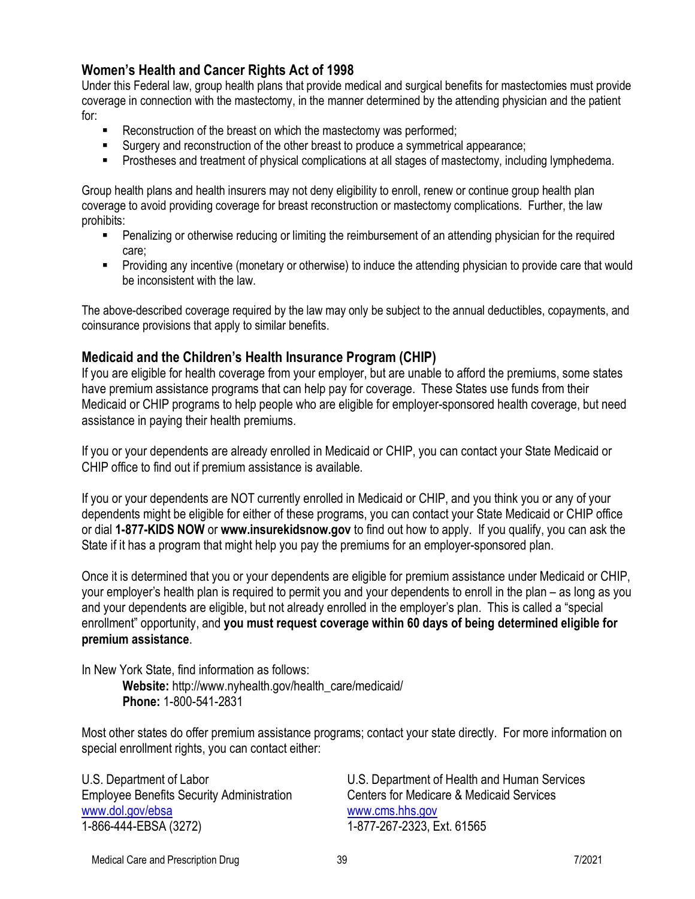# <span id="page-38-0"></span>**Women's Health and Cancer Rights Act of 1998**

Under this Federal law, group health plans that provide medical and surgical benefits for mastectomies must provide coverage in connection with the mastectomy, in the manner determined by the attending physician and the patient for:

- E Reconstruction of the breast on which the mastectomy was performed;
- Surgery and reconstruction of the other breast to produce a symmetrical appearance;
- **Prostheses and treatment of physical complications at all stages of mastectomy, including lymphedema.**

Group health plans and health insurers may not deny eligibility to enroll, renew or continue group health plan coverage to avoid providing coverage for breast reconstruction or mastectomy complications. Further, the law prohibits:

- Penalizing or otherwise reducing or limiting the reimbursement of an attending physician for the required care;
- Providing any incentive (monetary or otherwise) to induce the attending physician to provide care that would be inconsistent with the law.

The above-described coverage required by the law may only be subject to the annual deductibles, copayments, and coinsurance provisions that apply to similar benefits.

#### <span id="page-38-1"></span>**Medicaid and the Children's Health Insurance Program (CHIP)**

If you are eligible for health coverage from your employer, but are unable to afford the premiums, some states have premium assistance programs that can help pay for coverage. These States use funds from their Medicaid or CHIP programs to help people who are eligible for employer-sponsored health coverage, but need assistance in paying their health premiums.

If you or your dependents are already enrolled in Medicaid or CHIP, you can contact your State Medicaid or CHIP office to find out if premium assistance is available.

If you or your dependents are NOT currently enrolled in Medicaid or CHIP, and you think you or any of your dependents might be eligible for either of these programs, you can contact your State Medicaid or CHIP office or dial **1-877-KIDS NOW** or **www.insurekidsnow.gov** to find out how to apply. If you qualify, you can ask the State if it has a program that might help you pay the premiums for an employer-sponsored plan.

Once it is determined that you or your dependents are eligible for premium assistance under Medicaid or CHIP, your employer's health plan is required to permit you and your dependents to enroll in the plan – as long as you and your dependents are eligible, but not already enrolled in the employer's plan. This is called a "special enrollment" opportunity, and **you must request coverage within 60 days of being determined eligible for premium assistance**.

In New York State, find information as follows: **Website:** http://www.nyhealth.gov/health\_care/medicaid/ **Phone:** 1-800-541-2831

Most other states do offer premium assistance programs; contact your state directly. For more information on special enrollment rights, you can contact either:

Employee Benefits Security Administration Centers for Medicare & Medicaid Services [www.dol.gov/ebsa](http://www.dol.gov/ebsa) [www.cms.hhs.gov](http://www.cms.hhs.gov/) 1-866-444-EBSA (3272) 1-877-267-2323, Ext. 61565

U.S. Department of Labor U.S. Department of Health and Human Services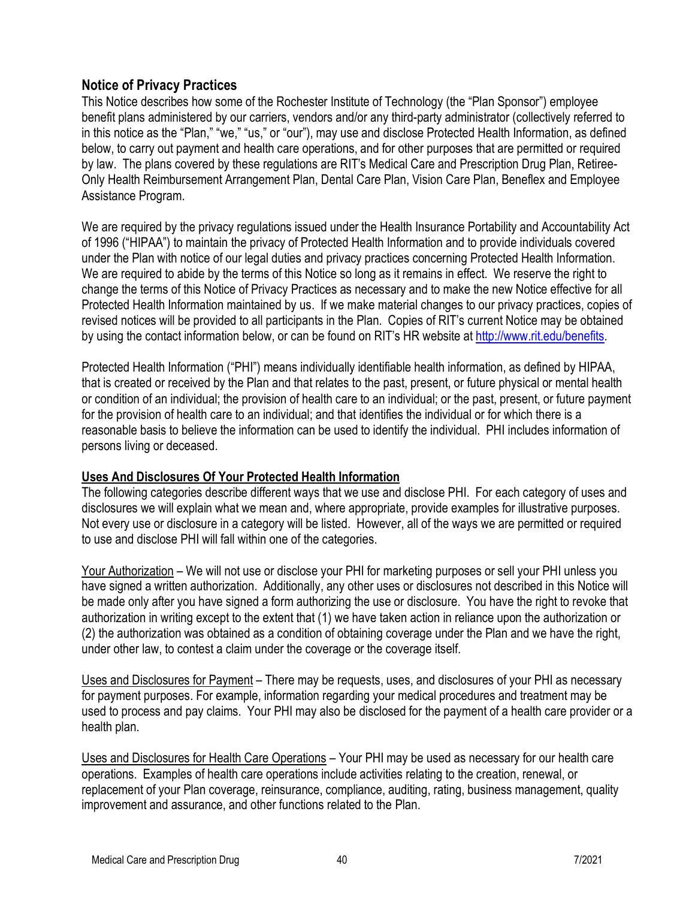# <span id="page-39-0"></span>**Notice of Privacy Practices**

This Notice describes how some of the Rochester Institute of Technology (the "Plan Sponsor") employee benefit plans administered by our carriers, vendors and/or any third-party administrator (collectively referred to in this notice as the "Plan," "we," "us," or "our"), may use and disclose Protected Health Information, as defined below, to carry out payment and health care operations, and for other purposes that are permitted or required by law. The plans covered by these regulations are RIT's Medical Care and Prescription Drug Plan, Retiree-Only Health Reimbursement Arrangement Plan, Dental Care Plan, Vision Care Plan, Beneflex and Employee Assistance Program.

We are required by the privacy regulations issued under the Health Insurance Portability and Accountability Act of 1996 ("HIPAA") to maintain the privacy of Protected Health Information and to provide individuals covered under the Plan with notice of our legal duties and privacy practices concerning Protected Health Information. We are required to abide by the terms of this Notice so long as it remains in effect. We reserve the right to change the terms of this Notice of Privacy Practices as necessary and to make the new Notice effective for all Protected Health Information maintained by us. If we make material changes to our privacy practices, copies of revised notices will be provided to all participants in the Plan. Copies of RIT's current Notice may be obtained by using the contact information below, or can be found on RIT's HR website at [http://www.rit.edu/benefits.](http://www.rit.edu/benefits)

Protected Health Information ("PHI") means individually identifiable health information, as defined by HIPAA, that is created or received by the Plan and that relates to the past, present, or future physical or mental health or condition of an individual; the provision of health care to an individual; or the past, present, or future payment for the provision of health care to an individual; and that identifies the individual or for which there is a reasonable basis to believe the information can be used to identify the individual. PHI includes information of persons living or deceased.

#### **Uses And Disclosures Of Your Protected Health Information**

The following categories describe different ways that we use and disclose PHI. For each category of uses and disclosures we will explain what we mean and, where appropriate, provide examples for illustrative purposes. Not every use or disclosure in a category will be listed. However, all of the ways we are permitted or required to use and disclose PHI will fall within one of the categories.

Your Authorization – We will not use or disclose your PHI for marketing purposes or sell your PHI unless you have signed a written authorization. Additionally, any other uses or disclosures not described in this Notice will be made only after you have signed a form authorizing the use or disclosure. You have the right to revoke that authorization in writing except to the extent that (1) we have taken action in reliance upon the authorization or (2) the authorization was obtained as a condition of obtaining coverage under the Plan and we have the right, under other law, to contest a claim under the coverage or the coverage itself.

Uses and Disclosures for Payment – There may be requests, uses, and disclosures of your PHI as necessary for payment purposes. For example, information regarding your medical procedures and treatment may be used to process and pay claims. Your PHI may also be disclosed for the payment of a health care provider or a health plan.

Uses and Disclosures for Health Care Operations – Your PHI may be used as necessary for our health care operations. Examples of health care operations include activities relating to the creation, renewal, or replacement of your Plan coverage, reinsurance, compliance, auditing, rating, business management, quality improvement and assurance, and other functions related to the Plan.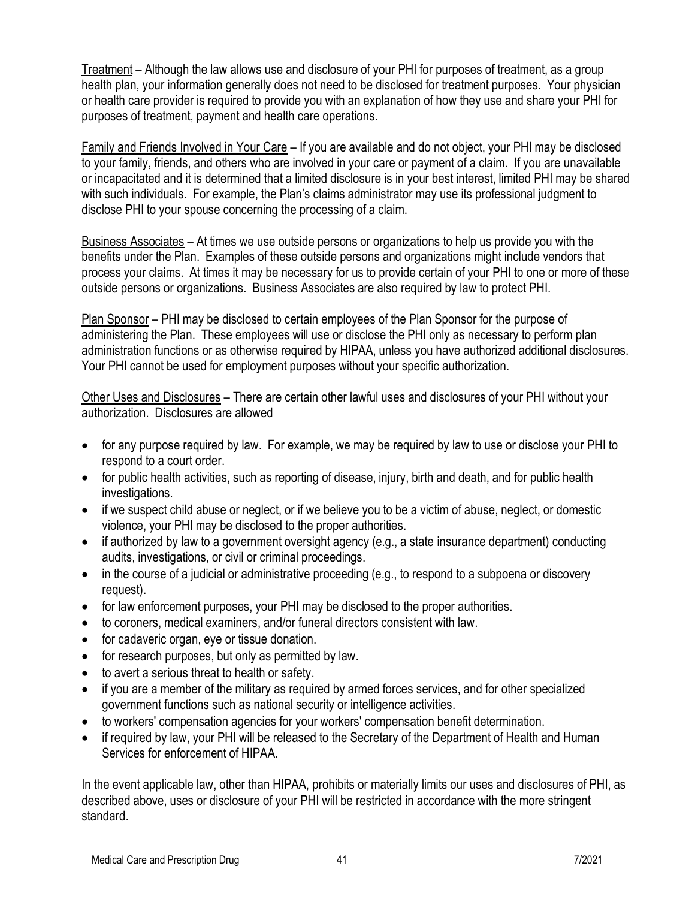Treatment – Although the law allows use and disclosure of your PHI for purposes of treatment, as a group health plan, your information generally does not need to be disclosed for treatment purposes. Your physician or health care provider is required to provide you with an explanation of how they use and share your PHI for purposes of treatment, payment and health care operations.

Family and Friends Involved in Your Care – If you are available and do not object, your PHI may be disclosed to your family, friends, and others who are involved in your care or payment of a claim. If you are unavailable or incapacitated and it is determined that a limited disclosure is in your best interest, limited PHI may be shared with such individuals. For example, the Plan's claims administrator may use its professional judgment to disclose PHI to your spouse concerning the processing of a claim.

Business Associates – At times we use outside persons or organizations to help us provide you with the benefits under the Plan. Examples of these outside persons and organizations might include vendors that process your claims. At times it may be necessary for us to provide certain of your PHI to one or more of these outside persons or organizations. Business Associates are also required by law to protect PHI.

Plan Sponsor – PHI may be disclosed to certain employees of the Plan Sponsor for the purpose of administering the Plan. These employees will use or disclose the PHI only as necessary to perform plan administration functions or as otherwise required by HIPAA, unless you have authorized additional disclosures. Your PHI cannot be used for employment purposes without your specific authorization.

Other Uses and Disclosures – There are certain other lawful uses and disclosures of your PHI without your authorization. Disclosures are allowed

- for any purpose required by law. For example, we may be required by law to use or disclose your PHI to respond to a court order.
- for public health activities, such as reporting of disease, injury, birth and death, and for public health investigations.
- if we suspect child abuse or neglect, or if we believe you to be a victim of abuse, neglect, or domestic violence, your PHI may be disclosed to the proper authorities.
- if authorized by law to a government oversight agency (e.g., a state insurance department) conducting audits, investigations, or civil or criminal proceedings.
- in the course of a judicial or administrative proceeding (e.g., to respond to a subpoena or discovery request).
- for law enforcement purposes, your PHI may be disclosed to the proper authorities.
- to coroners, medical examiners, and/or funeral directors consistent with law.
- for cadaveric organ, eye or tissue donation.
- for research purposes, but only as permitted by law.
- to avert a serious threat to health or safety.
- if you are a member of the military as required by armed forces services, and for other specialized government functions such as national security or intelligence activities.
- to workers' compensation agencies for your workers' compensation benefit determination.
- if required by law, your PHI will be released to the Secretary of the Department of Health and Human Services for enforcement of HIPAA.

In the event applicable law, other than HIPAA, prohibits or materially limits our uses and disclosures of PHI, as described above, uses or disclosure of your PHI will be restricted in accordance with the more stringent standard.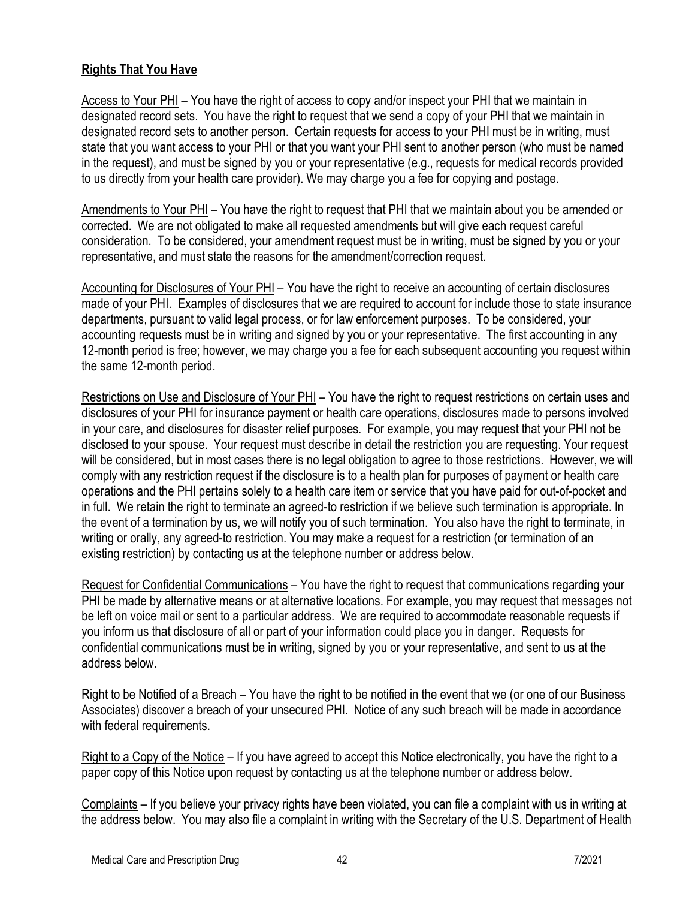### **Rights That You Have**

Access to Your PHI - You have the right of access to copy and/or inspect your PHI that we maintain in designated record sets. You have the right to request that we send a copy of your PHI that we maintain in designated record sets to another person. Certain requests for access to your PHI must be in writing, must state that you want access to your PHI or that you want your PHI sent to another person (who must be named in the request), and must be signed by you or your representative (e.g., requests for medical records provided to us directly from your health care provider). We may charge you a fee for copying and postage.

Amendments to Your PHI - You have the right to request that PHI that we maintain about you be amended or corrected. We are not obligated to make all requested amendments but will give each request careful consideration. To be considered, your amendment request must be in writing, must be signed by you or your representative, and must state the reasons for the amendment/correction request.

Accounting for Disclosures of Your PHI – You have the right to receive an accounting of certain disclosures made of your PHI. Examples of disclosures that we are required to account for include those to state insurance departments, pursuant to valid legal process, or for law enforcement purposes. To be considered, your accounting requests must be in writing and signed by you or your representative. The first accounting in any 12-month period is free; however, we may charge you a fee for each subsequent accounting you request within the same 12-month period.

Restrictions on Use and Disclosure of Your PHI – You have the right to request restrictions on certain uses and disclosures of your PHI for insurance payment or health care operations, disclosures made to persons involved in your care, and disclosures for disaster relief purposes. For example, you may request that your PHI not be disclosed to your spouse. Your request must describe in detail the restriction you are requesting. Your request will be considered, but in most cases there is no legal obligation to agree to those restrictions. However, we will comply with any restriction request if the disclosure is to a health plan for purposes of payment or health care operations and the PHI pertains solely to a health care item or service that you have paid for out-of-pocket and in full. We retain the right to terminate an agreed-to restriction if we believe such termination is appropriate. In the event of a termination by us, we will notify you of such termination. You also have the right to terminate, in writing or orally, any agreed-to restriction. You may make a request for a restriction (or termination of an existing restriction) by contacting us at the telephone number or address below.

Request for Confidential Communications – You have the right to request that communications regarding your PHI be made by alternative means or at alternative locations. For example, you may request that messages not be left on voice mail or sent to a particular address. We are required to accommodate reasonable requests if you inform us that disclosure of all or part of your information could place you in danger. Requests for confidential communications must be in writing, signed by you or your representative, and sent to us at the address below.

Right to be Notified of a Breach – You have the right to be notified in the event that we (or one of our Business Associates) discover a breach of your unsecured PHI. Notice of any such breach will be made in accordance with federal requirements.

Right to a Copy of the Notice – If you have agreed to accept this Notice electronically, you have the right to a paper copy of this Notice upon request by contacting us at the telephone number or address below.

Complaints – If you believe your privacy rights have been violated, you can file a complaint with us in writing at the address below. You may also file a complaint in writing with the Secretary of the U.S. Department of Health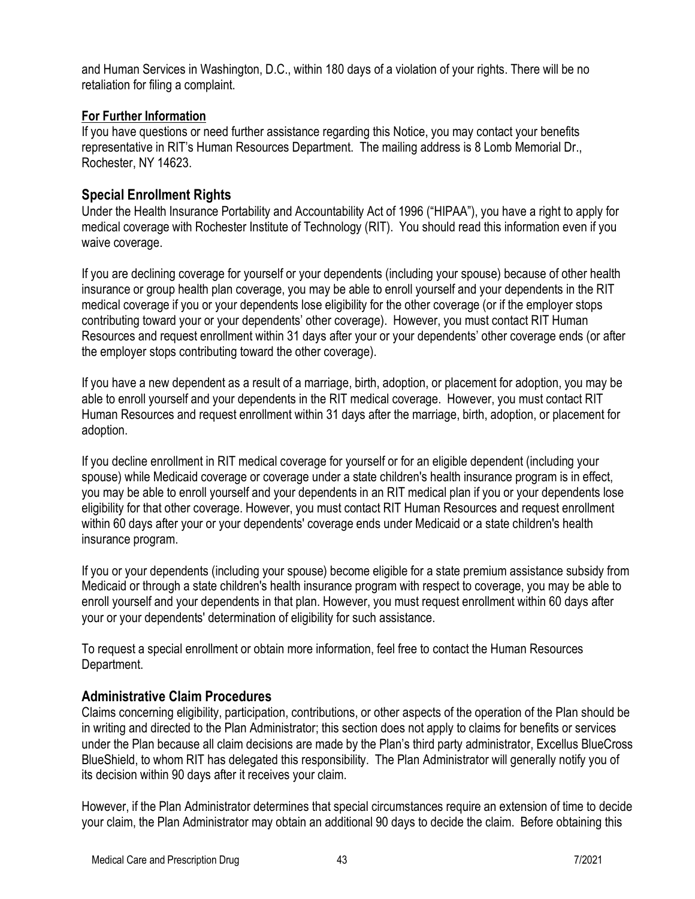and Human Services in Washington, D.C., within 180 days of a violation of your rights. There will be no retaliation for filing a complaint.

# **For Further Information**

If you have questions or need further assistance regarding this Notice, you may contact your benefits representative in RIT's Human Resources Department. The mailing address is 8 Lomb Memorial Dr., Rochester, NY 14623.

# <span id="page-42-0"></span>**Special Enrollment Rights**

Under the Health Insurance Portability and Accountability Act of 1996 ("HIPAA"), you have a right to apply for medical coverage with Rochester Institute of Technology (RIT). You should read this information even if you waive coverage.

If you are declining coverage for yourself or your dependents (including your spouse) because of other health insurance or group health plan coverage, you may be able to enroll yourself and your dependents in the RIT medical coverage if you or your dependents lose eligibility for the other coverage (or if the employer stops contributing toward your or your dependents' other coverage). However, you must contact RIT Human Resources and request enrollment within 31 days after your or your dependents' other coverage ends (or after the employer stops contributing toward the other coverage).

If you have a new dependent as a result of a marriage, birth, adoption, or placement for adoption, you may be able to enroll yourself and your dependents in the RIT medical coverage. However, you must contact RIT Human Resources and request enrollment within 31 days after the marriage, birth, adoption, or placement for adoption.

If you decline enrollment in RIT medical coverage for yourself or for an eligible dependent (including your spouse) while Medicaid coverage or coverage under a state children's health insurance program is in effect, you may be able to enroll yourself and your dependents in an RIT medical plan if you or your dependents lose eligibility for that other coverage. However, you must contact RIT Human Resources and request enrollment within 60 days after your or your dependents' coverage ends under Medicaid or a state children's health insurance program.

If you or your dependents (including your spouse) become eligible for a state premium assistance subsidy from Medicaid or through a state children's health insurance program with respect to coverage, you may be able to enroll yourself and your dependents in that plan. However, you must request enrollment within 60 days after your or your dependents' determination of eligibility for such assistance.

To request a special enrollment or obtain more information, feel free to contact the Human Resources Department.

# <span id="page-42-1"></span>**Administrative Claim Procedures**

Claims concerning eligibility, participation, contributions, or other aspects of the operation of the Plan should be in writing and directed to the Plan Administrator; this section does not apply to claims for benefits or services under the Plan because all claim decisions are made by the Plan's third party administrator, Excellus BlueCross BlueShield, to whom RIT has delegated this responsibility. The Plan Administrator will generally notify you of its decision within 90 days after it receives your claim.

However, if the Plan Administrator determines that special circumstances require an extension of time to decide your claim, the Plan Administrator may obtain an additional 90 days to decide the claim. Before obtaining this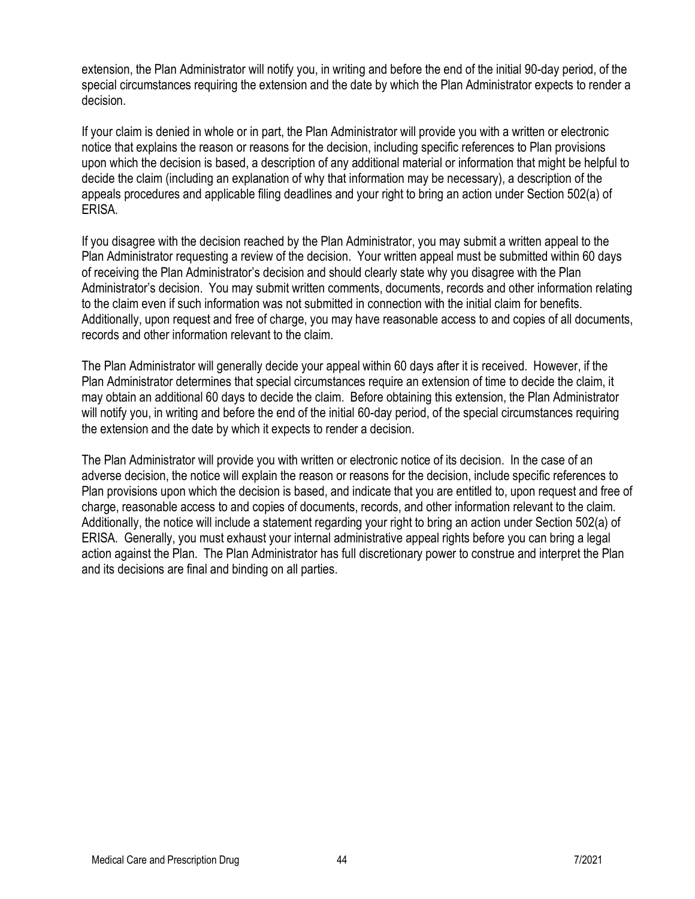extension, the Plan Administrator will notify you, in writing and before the end of the initial 90-day period, of the special circumstances requiring the extension and the date by which the Plan Administrator expects to render a decision.

If your claim is denied in whole or in part, the Plan Administrator will provide you with a written or electronic notice that explains the reason or reasons for the decision, including specific references to Plan provisions upon which the decision is based, a description of any additional material or information that might be helpful to decide the claim (including an explanation of why that information may be necessary), a description of the appeals procedures and applicable filing deadlines and your right to bring an action under Section 502(a) of ERISA.

If you disagree with the decision reached by the Plan Administrator, you may submit a written appeal to the Plan Administrator requesting a review of the decision. Your written appeal must be submitted within 60 days of receiving the Plan Administrator's decision and should clearly state why you disagree with the Plan Administrator's decision. You may submit written comments, documents, records and other information relating to the claim even if such information was not submitted in connection with the initial claim for benefits. Additionally, upon request and free of charge, you may have reasonable access to and copies of all documents, records and other information relevant to the claim.

The Plan Administrator will generally decide your appeal within 60 days after it is received. However, if the Plan Administrator determines that special circumstances require an extension of time to decide the claim, it may obtain an additional 60 days to decide the claim. Before obtaining this extension, the Plan Administrator will notify you, in writing and before the end of the initial 60-day period, of the special circumstances requiring the extension and the date by which it expects to render a decision.

The Plan Administrator will provide you with written or electronic notice of its decision. In the case of an adverse decision, the notice will explain the reason or reasons for the decision, include specific references to Plan provisions upon which the decision is based, and indicate that you are entitled to, upon request and free of charge, reasonable access to and copies of documents, records, and other information relevant to the claim. Additionally, the notice will include a statement regarding your right to bring an action under Section 502(a) of ERISA. Generally, you must exhaust your internal administrative appeal rights before you can bring a legal action against the Plan. The Plan Administrator has full discretionary power to construe and interpret the Plan and its decisions are final and binding on all parties.